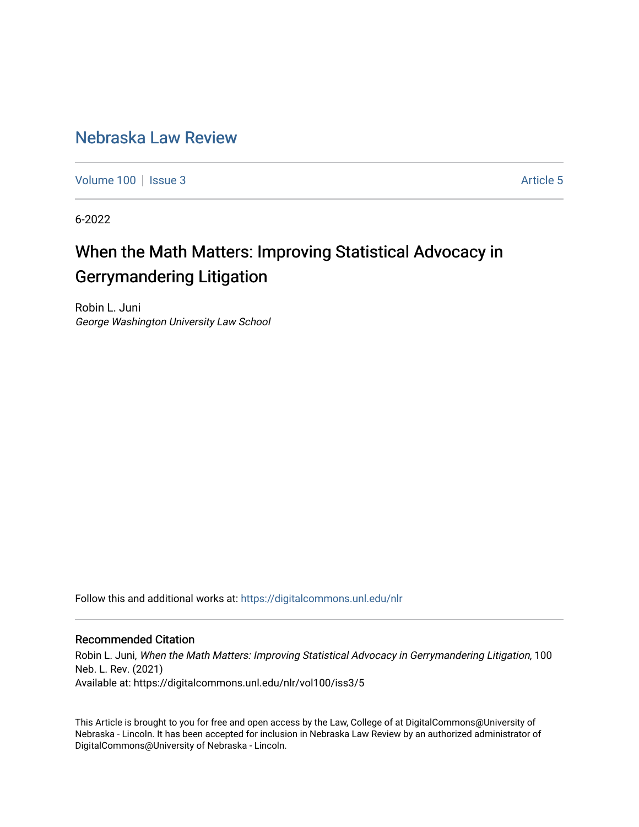## [Nebraska Law Review](https://digitalcommons.unl.edu/nlr)

[Volume 100](https://digitalcommons.unl.edu/nlr/vol100) | [Issue 3](https://digitalcommons.unl.edu/nlr/vol100/iss3) Article 5

6-2022

# When the Math Matters: Improving Statistical Advocacy in Gerrymandering Litigation

Robin L. Juni George Washington University Law School

Follow this and additional works at: [https://digitalcommons.unl.edu/nlr](https://digitalcommons.unl.edu/nlr?utm_source=digitalcommons.unl.edu%2Fnlr%2Fvol100%2Fiss3%2F5&utm_medium=PDF&utm_campaign=PDFCoverPages) 

## Recommended Citation

Robin L. Juni, When the Math Matters: Improving Statistical Advocacy in Gerrymandering Litigation, 100 Neb. L. Rev. (2021) Available at: https://digitalcommons.unl.edu/nlr/vol100/iss3/5

This Article is brought to you for free and open access by the Law, College of at DigitalCommons@University of Nebraska - Lincoln. It has been accepted for inclusion in Nebraska Law Review by an authorized administrator of DigitalCommons@University of Nebraska - Lincoln.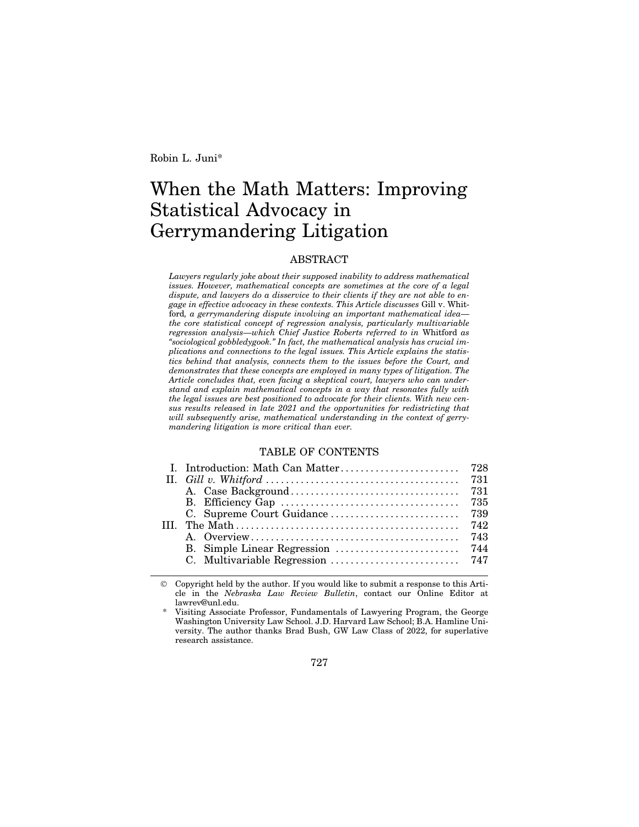Robin L. Juni\*

## When the Math Matters: Improving Statistical Advocacy in Gerrymandering Litigation

## ABSTRACT

*Lawyers regularly joke about their supposed inability to address mathematical issues. However, mathematical concepts are sometimes at the core of a legal dispute, and lawyers do a disservice to their clients if they are not able to engage in effective advocacy in these contexts. This Article discusses* Gill v. Whitford*, a gerrymandering dispute involving an important mathematical idea the core statistical concept of regression analysis, particularly multivariable regression analysis—which Chief Justice Roberts referred to in* Whitford *as "sociological gobbledygook." In fact, the mathematical analysis has crucial implications and connections to the legal issues. This Article explains the statistics behind that analysis, connects them to the issues before the Court, and demonstrates that these concepts are employed in many types of litigation. The Article concludes that, even facing a skeptical court, lawyers who can understand and explain mathematical concepts in a way that resonates fully with the legal issues are best positioned to advocate for their clients. With new census results released in late 2021 and the opportunities for redistricting that will subsequently arise, mathematical understanding in the context of gerrymandering litigation is more critical than ever.*

#### TABLE OF CONTENTS

|                                                                                                | 735 |
|------------------------------------------------------------------------------------------------|-----|
|                                                                                                |     |
| III. The Math $\ldots$ $\ldots$ $\ldots$ $\ldots$ $\ldots$ $\ldots$ $\ldots$ $\ldots$ $\ldots$ | 742 |
|                                                                                                | 743 |
|                                                                                                |     |
|                                                                                                |     |
|                                                                                                |     |

 Copyright held by the author. If you would like to submit a response to this Article in the *Nebraska Law Review Bulletin*, contact our Online Editor at lawrev@unl.edu.

\* Visiting Associate Professor, Fundamentals of Lawyering Program, the George Washington University Law School. J.D. Harvard Law School; B.A. Hamline University. The author thanks Brad Bush, GW Law Class of 2022, for superlative research assistance.

727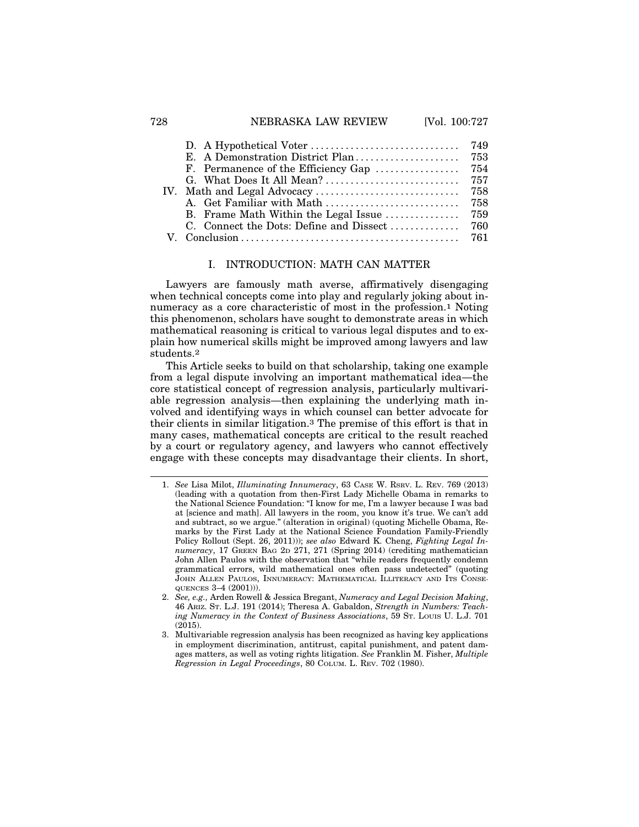#### 728 NEBRASKA LAW REVIEW [Vol. 100:727

|     |                                         | 749 |
|-----|-----------------------------------------|-----|
|     | E. A Demonstration District Plan        | 753 |
|     | F. Permanence of the Efficiency Gap     | 754 |
|     |                                         | 757 |
| IV. |                                         | 758 |
|     |                                         | 758 |
|     | B. Frame Math Within the Legal Issue    | 759 |
|     | C. Connect the Dots: Define and Dissect | 760 |
|     |                                         |     |

## I. INTRODUCTION: MATH CAN MATTER

Lawyers are famously math averse, affirmatively disengaging when technical concepts come into play and regularly joking about innumeracy as a core characteristic of most in the profession.1 Noting this phenomenon, scholars have sought to demonstrate areas in which mathematical reasoning is critical to various legal disputes and to explain how numerical skills might be improved among lawyers and law students.2

This Article seeks to build on that scholarship, taking one example from a legal dispute involving an important mathematical idea—the core statistical concept of regression analysis, particularly multivariable regression analysis—then explaining the underlying math involved and identifying ways in which counsel can better advocate for their clients in similar litigation.3 The premise of this effort is that in many cases, mathematical concepts are critical to the result reached by a court or regulatory agency, and lawyers who cannot effectively engage with these concepts may disadvantage their clients. In short,

<sup>1.</sup> *See* Lisa Milot, *Illuminating Innumeracy*, 63 CASE W. RSRV. L. REV. 769 (2013) (leading with a quotation from then-First Lady Michelle Obama in remarks to the National Science Foundation: "I know for me, I'm a lawyer because I was bad at [science and math]. All lawyers in the room, you know it's true. We can't add and subtract, so we argue." (alteration in original) (quoting Michelle Obama, Remarks by the First Lady at the National Science Foundation Family-Friendly Policy Rollout (Sept. 26, 2011))); *see also* Edward K. Cheng, *Fighting Legal Innumeracy*, 17 GREEN BAG 2D 271, 271 (Spring 2014) (crediting mathematician John Allen Paulos with the observation that "while readers frequently condemn grammatical errors, wild mathematical ones often pass undetected" (quoting JOHN ALLEN PAULOS, INNUMERACY: MATHEMATICAL ILLITERACY AND ITS CONSE-QUENCES 3–4 (2001))).

<sup>2.</sup> *See, e.g.,* Arden Rowell & Jessica Bregant, *Numeracy and Legal Decision Making*, 46 ARIZ. ST. L.J. 191 (2014); Theresa A. Gabaldon, *Strength in Numbers: Teaching Numeracy in the Context of Business Associations*, 59 ST. LOUIS U. L.J. 701 (2015).

<sup>3.</sup> Multivariable regression analysis has been recognized as having key applications in employment discrimination, antitrust, capital punishment, and patent damages matters, as well as voting rights litigation. *See* Franklin M. Fisher, *Multiple Regression in Legal Proceedings*, 80 COLUM. L. REV. 702 (1980).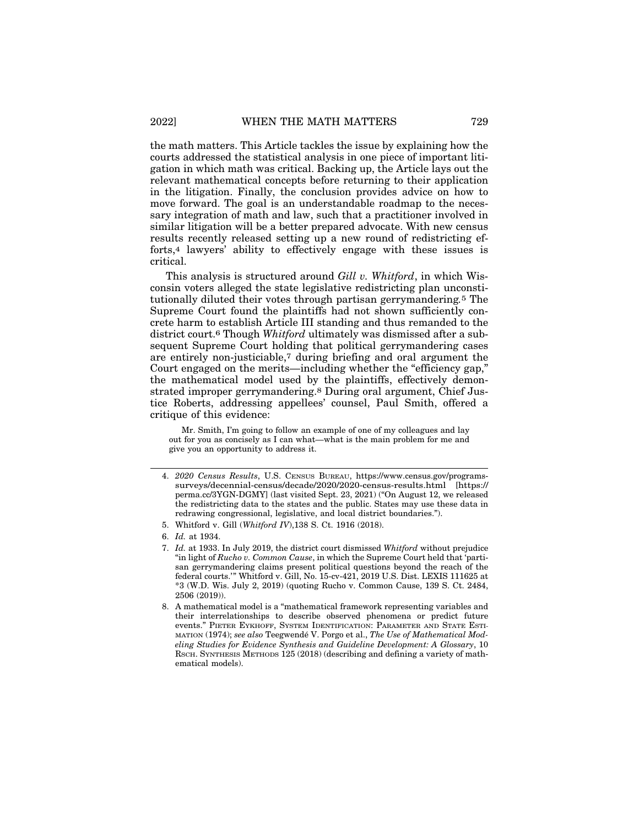the math matters. This Article tackles the issue by explaining how the courts addressed the statistical analysis in one piece of important litigation in which math was critical. Backing up, the Article lays out the relevant mathematical concepts before returning to their application in the litigation. Finally, the conclusion provides advice on how to move forward. The goal is an understandable roadmap to the necessary integration of math and law, such that a practitioner involved in similar litigation will be a better prepared advocate. With new census results recently released setting up a new round of redistricting efforts,4 lawyers' ability to effectively engage with these issues is critical.

This analysis is structured around *Gill v. Whitford*, in which Wisconsin voters alleged the state legislative redistricting plan unconstitutionally diluted their votes through partisan gerrymandering*.*5 The Supreme Court found the plaintiffs had not shown sufficiently concrete harm to establish Article III standing and thus remanded to the district court.6 Though *Whitford* ultimately was dismissed after a subsequent Supreme Court holding that political gerrymandering cases are entirely non-justiciable,7 during briefing and oral argument the Court engaged on the merits—including whether the "efficiency gap," the mathematical model used by the plaintiffs, effectively demonstrated improper gerrymandering.8 During oral argument, Chief Justice Roberts, addressing appellees' counsel, Paul Smith, offered a critique of this evidence:

Mr. Smith, I'm going to follow an example of one of my colleagues and lay out for you as concisely as I can what—what is the main problem for me and give you an opportunity to address it.

<sup>4.</sup> *2020 Census Results*, U.S. CENSUS BUREAU, https://www.census.gov/programssurveys/decennial-census/decade/2020/2020-census-results.html [https:// perma.cc/3YGN-DGMY] (last visited Sept. 23, 2021) ("On August 12, we released the redistricting data to the states and the public. States may use these data in redrawing congressional, legislative, and local district boundaries.").

<sup>5.</sup> Whitford v. Gill (*Whitford IV*),138 S. Ct. 1916 (2018).

<sup>6.</sup> *Id.* at 1934.

<sup>7.</sup> *Id.* at 1933. In July 2019, the district court dismissed *Whitford* without prejudice "in light of *Rucho v. Common Cause*, in which the Supreme Court held that 'partisan gerrymandering claims present political questions beyond the reach of the federal courts.'" Whitford v. Gill, No. 15-cv-421, 2019 U.S. Dist. LEXIS 111625 at \*3 (W.D. Wis. July 2, 2019) (quoting Rucho v. Common Cause, 139 S. Ct. 2484, 2506 (2019)).

<sup>8.</sup> A mathematical model is a "mathematical framework representing variables and their interrelationships to describe observed phenomena or predict future events." PIETER EYKHOFF, SYSTEM IDENTIFICATION: PARAMETER AND STATE ESTI-MATION (1974); see also Teegwendé V. Porgo et al., *The Use of Mathematical Modeling Studies for Evidence Synthesis and Guideline Development: A Glossary*, 10 RSCH. SYNTHESIS METHODS 125 (2018) (describing and defining a variety of mathematical models).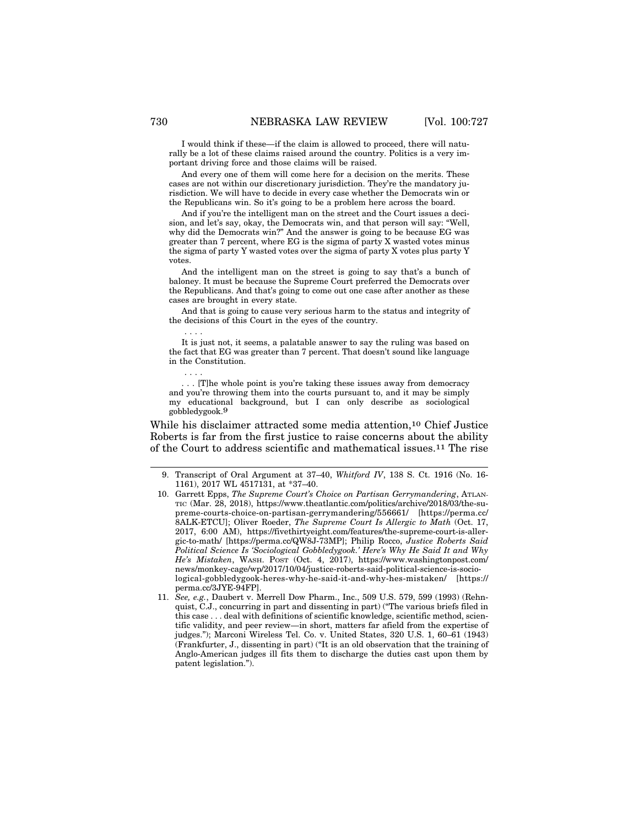I would think if these—if the claim is allowed to proceed, there will naturally be a lot of these claims raised around the country. Politics is a very important driving force and those claims will be raised.

And every one of them will come here for a decision on the merits. These cases are not within our discretionary jurisdiction. They're the mandatory jurisdiction. We will have to decide in every case whether the Democrats win or the Republicans win. So it's going to be a problem here across the board.

And if you're the intelligent man on the street and the Court issues a decision, and let's say, okay, the Democrats win, and that person will say: "Well, why did the Democrats win?" And the answer is going to be because EG was greater than 7 percent, where EG is the sigma of party X wasted votes minus the sigma of party Y wasted votes over the sigma of party X votes plus party Y votes.

And the intelligent man on the street is going to say that's a bunch of baloney. It must be because the Supreme Court preferred the Democrats over the Republicans. And that's going to come out one case after another as these cases are brought in every state.

And that is going to cause very serious harm to the status and integrity of the decisions of this Court in the eyes of the country.

. . . .

. . . .

It is just not, it seems, a palatable answer to say the ruling was based on the fact that EG was greater than 7 percent. That doesn't sound like language in the Constitution.

.. The whole point is you're taking these issues away from democracy and you're throwing them into the courts pursuant to, and it may be simply my educational background, but I can only describe as sociological gobbledygook.9

While his disclaimer attracted some media attention,10 Chief Justice Roberts is far from the first justice to raise concerns about the ability of the Court to address scientific and mathematical issues.11 The rise

<sup>9.</sup> Transcript of Oral Argument at 37–40, *Whitford IV*, 138 S. Ct. 1916 (No. 16- 1161), 2017 WL 4517131, at \*37–40.

<sup>10.</sup> Garrett Epps, *The Supreme Court's Choice on Partisan Gerrymandering*, ATLAN-TIC (Mar. 28, 2018), https://www.theatlantic.com/politics/archive/2018/03/the-supreme-courts-choice-on-partisan-gerrymandering/556661/ [https://perma.cc/ 8ALK-ETCU]; Oliver Roeder, *The Supreme Court Is Allergic to Math* (Oct. 17, 2017, 6:00 AM), https://fivethirtyeight.com/features/the-supreme-court-is-allergic-to-math/ [https://perma.cc/QW8J-73MP]; Philip Rocco, *Justice Roberts Said Political Science Is 'Sociological Gobbledygook.' Here's Why He Said It and Why He's Mistaken*, WASH. POST (Oct. 4, 2017), https://www.washingtonpost.com/ news/monkey-cage/wp/2017/10/04/justice-roberts-said-political-science-is-sociological-gobbledygook-heres-why-he-said-it-and-why-hes-mistaken/ [https:// perma.cc/3JYE-94FP].

<sup>11.</sup> *See, e.g.*, Daubert v. Merrell Dow Pharm., Inc., 509 U.S. 579, 599 (1993) (Rehnquist, C.J., concurring in part and dissenting in part) ("The various briefs filed in this case . . . deal with definitions of scientific knowledge, scientific method, scientific validity, and peer review—in short, matters far afield from the expertise of judges."); Marconi Wireless Tel. Co. v. United States, 320 U.S. 1, 60–61 (1943) (Frankfurter, J., dissenting in part) ("It is an old observation that the training of Anglo-American judges ill fits them to discharge the duties cast upon them by patent legislation.").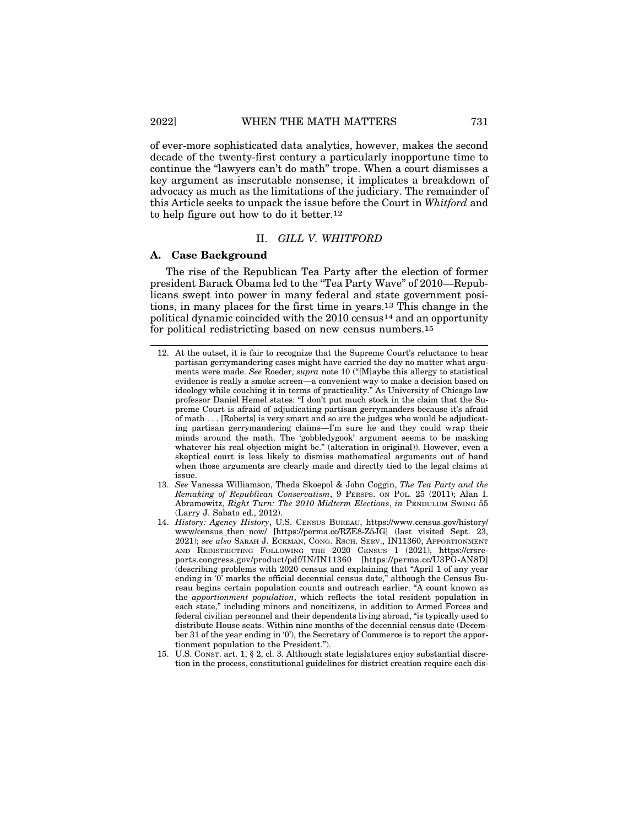of ever-more sophisticated data analytics, however, makes the second decade of the twenty-first century a particularly inopportune time to continue the "lawyers can't do math" trope. When a court dismisses a key argument as inscrutable nonsense, it implicates a breakdown of advocacy as much as the limitations of the judiciary. The remainder of this Article seeks to unpack the issue before the Court in *Whitford* and to help figure out how to do it better.12

## II. *GILL V. WHITFORD*

## **A. Case Background**

The rise of the Republican Tea Party after the election of former president Barack Obama led to the "Tea Party Wave" of 2010—Republicans swept into power in many federal and state government positions, in many places for the first time in years.13 This change in the political dynamic coincided with the 2010 census14 and an opportunity for political redistricting based on new census numbers.15

<sup>12.</sup> At the outset, it is fair to recognize that the Supreme Court's reluctance to hear partisan gerrymandering cases might have carried the day no matter what arguments were made. *See* Roeder, *supra* note 10 ("[M]aybe this allergy to statistical evidence is really a smoke screen—a convenient way to make a decision based on ideology while couching it in terms of practicality." As University of Chicago law professor Daniel Hemel states: "I don't put much stock in the claim that the Supreme Court is afraid of adjudicating partisan gerrymanders because it's afraid of math . . . [Roberts] is very smart and so are the judges who would be adjudicating partisan gerrymandering claims—I'm sure he and they could wrap their minds around the math. The 'gobbledygook' argument seems to be masking whatever his real objection might be." (alteration in original)). However, even a skeptical court is less likely to dismiss mathematical arguments out of hand when those arguments are clearly made and directly tied to the legal claims at issue.

<sup>13.</sup> *See* Vanessa Williamson, Theda Skoepol & John Coggin, *The Tea Party and the Remaking of Republican Conservatism*, 9 PERSPS. ON POL. 25 (2011); Alan I. Abramowitz, *Right Turn: The 2010 Midterm Elections*, *in* PENDULUM SWING 55 (Larry J. Sabato ed., 2012).

<sup>14.</sup> *History: Agency History*, U.S. CENSUS BUREAU, https://www.census.gov/history/ www/census\_then\_now/ [https://perma.cc/RZE8-Z5JG] (last visited Sept. 23, 2021); *see also* SARAH J. ECKMAN, CONG. RSCH. SERV., IN11360, APPORTIONMENT AND REDISTRICTING FOLLOWING THE 2020 CENSUS 1 (2021), https://crsreports.congress.gov/product/pdf/IN/IN11360 [https://perma.cc/U3PG-AN8D] (describing problems with 2020 census and explaining that "April 1 of any year ending in  $0$ <sup>'</sup> marks the official decennial census date," although the Census Bureau begins certain population counts and outreach earlier. "A count known as the *apportionment population*, which reflects the total resident population in each state," including minors and noncitizens, in addition to Armed Forces and federal civilian personnel and their dependents living abroad, "is typically used to distribute House seats. Within nine months of the decennial census date (December 31 of the year ending in '0'), the Secretary of Commerce is to report the apportionment population to the President.").

<sup>15.</sup> U.S. CONST. art. 1, § 2, cl. 3. Although state legislatures enjoy substantial discretion in the process, constitutional guidelines for district creation require each dis-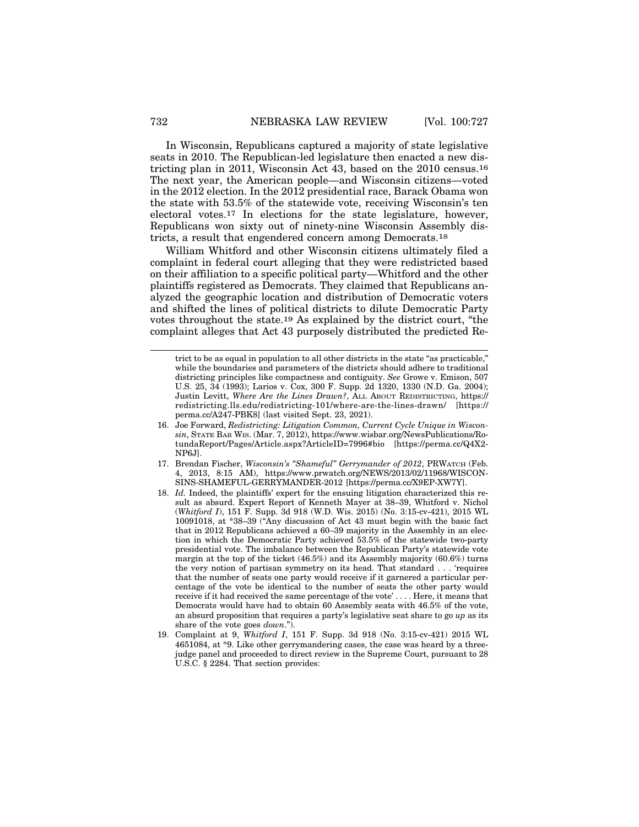In Wisconsin, Republicans captured a majority of state legislative seats in 2010. The Republican-led legislature then enacted a new districting plan in 2011, Wisconsin Act 43, based on the 2010 census.16 The next year, the American people—and Wisconsin citizens—voted in the 2012 election. In the 2012 presidential race, Barack Obama won the state with 53.5% of the statewide vote, receiving Wisconsin's ten electoral votes.17 In elections for the state legislature, however, Republicans won sixty out of ninety-nine Wisconsin Assembly districts, a result that engendered concern among Democrats.18

William Whitford and other Wisconsin citizens ultimately filed a complaint in federal court alleging that they were redistricted based on their affiliation to a specific political party—Whitford and the other plaintiffs registered as Democrats. They claimed that Republicans analyzed the geographic location and distribution of Democratic voters and shifted the lines of political districts to dilute Democratic Party votes throughout the state.19 As explained by the district court, "the complaint alleges that Act 43 purposely distributed the predicted Re-

- 16. Joe Forward, *Redistricting: Litigation Common, Current Cycle Unique in Wisconsin*, STATE BAR WIS. (Mar. 7, 2012), https://www.wisbar.org/NewsPublications/RotundaReport/Pages/Article.aspx?ArticleID=7996#bio [https://perma.cc/Q4X2- NP6J].
- 17. Brendan Fischer, *Wisconsin's "Shameful" Gerrymander of 2012*, PRWATCH (Feb. 4, 2013, 8:15 AM), https://www.prwatch.org/NEWS/2013/02/11968/WISCON-SINS-SHAMEFUL-GERRYMANDER-2012 [https://perma.cc/X9EP-XW7Y].
- 18. *Id.* Indeed, the plaintiffs' expert for the ensuing litigation characterized this result as absurd. Expert Report of Kenneth Mayer at 38–39, Whitford v. Nichol (*Whitford I*), 151 F. Supp. 3d 918 (W.D. Wis. 2015) (No. 3:15-cv-421), 2015 WL 10091018, at \*38–39 ("Any discussion of Act 43 must begin with the basic fact that in 2012 Republicans achieved a 60–39 majority in the Assembly in an election in which the Democratic Party achieved 53.5% of the statewide two-party presidential vote. The imbalance between the Republican Party's statewide vote margin at the top of the ticket  $(46.5%)$  and its Assembly majority  $(60.6%)$  turns the very notion of partisan symmetry on its head. That standard . . . 'requires that the number of seats one party would receive if it garnered a particular percentage of the vote be identical to the number of seats the other party would receive if it had received the same percentage of the vote' . . . . Here, it means that Democrats would have had to obtain 60 Assembly seats with 46.5% of the vote, an absurd proposition that requires a party's legislative seat share to go *up* as its share of the vote goes *down*.").
- 19. Complaint at 9, *Whitford I*, 151 F. Supp. 3d 918 (No. 3:15-cv-421) 2015 WL 4651084, at \*9. Like other gerrymandering cases, the case was heard by a threejudge panel and proceeded to direct review in the Supreme Court, pursuant to 28 U.S.C. § 2284. That section provides:

trict to be as equal in population to all other districts in the state "as practicable," while the boundaries and parameters of the districts should adhere to traditional districting principles like compactness and contiguity. *See* Growe v. Emison, 507 U.S. 25, 34 (1993); Larios v. Cox, 300 F. Supp. 2d 1320, 1330 (N.D. Ga. 2004); Justin Levitt, *Where Are the Lines Drawn?*, ALL ABOUT REDISTRICTING, https:// redistricting.lls.edu/redistricting-101/where-are-the-lines-drawn/ [https:// perma.cc/A247-PBK8] (last visited Sept. 23, 2021).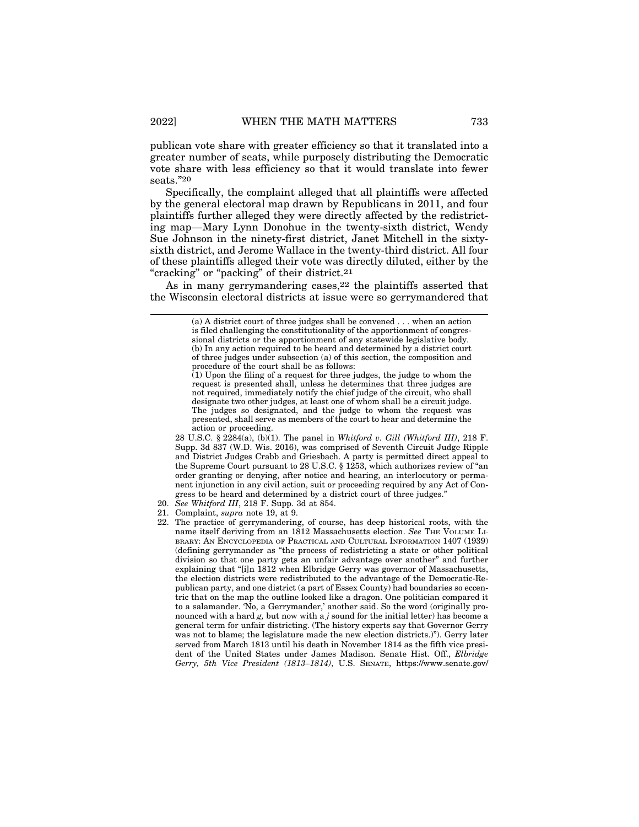publican vote share with greater efficiency so that it translated into a greater number of seats, while purposely distributing the Democratic vote share with less efficiency so that it would translate into fewer seats."20

Specifically, the complaint alleged that all plaintiffs were affected by the general electoral map drawn by Republicans in 2011, and four plaintiffs further alleged they were directly affected by the redistricting map—Mary Lynn Donohue in the twenty-sixth district, Wendy Sue Johnson in the ninety-first district, Janet Mitchell in the sixtysixth district, and Jerome Wallace in the twenty-third district. All four of these plaintiffs alleged their vote was directly diluted, either by the "cracking" or "packing" of their district.21

As in many gerrymandering cases,<sup>22</sup> the plaintiffs asserted that the Wisconsin electoral districts at issue were so gerrymandered that

28 U.S.C. § 2284(a), (b)(1). The panel in *Whitford v. Gill (Whitford III)*, 218 F. Supp. 3d 837 (W.D. Wis. 2016), was comprised of Seventh Circuit Judge Ripple and District Judges Crabb and Griesbach. A party is permitted direct appeal to the Supreme Court pursuant to 28 U.S.C. § 1253, which authorizes review of "an order granting or denying, after notice and hearing, an interlocutory or permanent injunction in any civil action, suit or proceeding required by any Act of Congress to be heard and determined by a district court of three judges."

- 20. *See Whitford III*, 218 F. Supp. 3d at 854.
- 21. Complaint, *supra* note 19, at 9.

<sup>(</sup>a) A district court of three judges shall be convened . . . when an action is filed challenging the constitutionality of the apportionment of congressional districts or the apportionment of any statewide legislative body. (b) In any action required to be heard and determined by a district court of three judges under subsection (a) of this section, the composition and procedure of the court shall be as follows:

 $(1)$  Upon the filing of a request for three judges, the judge to whom the request is presented shall, unless he determines that three judges are not required, immediately notify the chief judge of the circuit, who shall designate two other judges, at least one of whom shall be a circuit judge. The judges so designated, and the judge to whom the request was presented, shall serve as members of the court to hear and determine the action or proceeding.

<sup>22.</sup> The practice of gerrymandering, of course, has deep historical roots, with the name itself deriving from an 1812 Massachusetts election. *See* THE VOLUME LI-BRARY: AN ENCYCLOPEDIA OF PRACTICAL AND CULTURAL INFORMATION 1407 (1939) (defining gerrymander as "the process of redistricting a state or other political division so that one party gets an unfair advantage over another" and further explaining that "[i]n 1812 when Elbridge Gerry was governor of Massachusetts, the election districts were redistributed to the advantage of the Democratic-Republican party, and one district (a part of Essex County) had boundaries so eccentric that on the map the outline looked like a dragon. One politician compared it to a salamander. 'No, a Gerrymander,' another said. So the word (originally pronounced with a hard *g,* but now with a *j* sound for the initial letter) has become a general term for unfair districting. (The history experts say that Governor Gerry was not to blame; the legislature made the new election districts.)"). Gerry later served from March 1813 until his death in November 1814 as the fifth vice president of the United States under James Madison. Senate Hist. Off., *Elbridge Gerry, 5th Vice President (1813–1814)*, U.S. SENATE, https://www.senate.gov/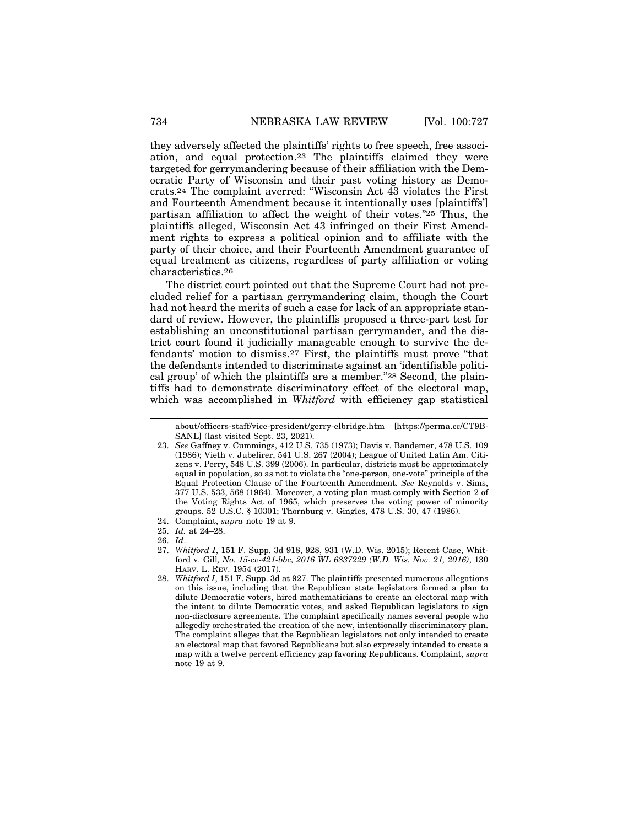they adversely affected the plaintiffs' rights to free speech, free association, and equal protection.23 The plaintiffs claimed they were targeted for gerrymandering because of their affiliation with the Democratic Party of Wisconsin and their past voting history as Democrats.24 The complaint averred: "Wisconsin Act 43 violates the First and Fourteenth Amendment because it intentionally uses [plaintiffs'] partisan affiliation to affect the weight of their votes."25 Thus, the plaintiffs alleged, Wisconsin Act 43 infringed on their First Amendment rights to express a political opinion and to affiliate with the party of their choice, and their Fourteenth Amendment guarantee of equal treatment as citizens, regardless of party affiliation or voting characteristics.26

The district court pointed out that the Supreme Court had not precluded relief for a partisan gerrymandering claim, though the Court had not heard the merits of such a case for lack of an appropriate standard of review. However, the plaintiffs proposed a three-part test for establishing an unconstitutional partisan gerrymander, and the district court found it judicially manageable enough to survive the defendants' motion to dismiss.27 First, the plaintiffs must prove "that the defendants intended to discriminate against an 'identifiable political group' of which the plaintiffs are a member."28 Second, the plaintiffs had to demonstrate discriminatory effect of the electoral map, which was accomplished in *Whitford* with efficiency gap statistical

about/officers-staff/vice-president/gerry-elbridge.htm [https://perma.cc/CT9B-SANL] (last visited Sept. 23, 2021).

<sup>23.</sup> *See* Gaffney v. Cummings, 412 U.S. 735 (1973); Davis v. Bandemer, 478 U.S. 109 (1986); Vieth v. Jubelirer, 541 U.S. 267 (2004); League of United Latin Am. Citizens v. Perry, 548 U.S. 399 (2006). In particular, districts must be approximately equal in population, so as not to violate the "one-person, one-vote" principle of the Equal Protection Clause of the Fourteenth Amendment*. See* Reynolds v. Sims, 377 U.S. 533, 568 (1964). Moreover, a voting plan must comply with Section 2 of the Voting Rights Act of 1965, which preserves the voting power of minority groups. 52 U.S.C. § 10301; Thornburg v. Gingles, 478 U.S. 30, 47 (1986).

<sup>24.</sup> Complaint, *supra* note 19 at 9.

<sup>25.</sup> *Id.* at 24–28.

<sup>26.</sup> *Id*.

<sup>27.</sup> *Whitford I*, 151 F. Supp. 3d 918, 928, 931 (W.D. Wis. 2015); Recent Case, Whitford v. Gill*, No. 15-cv-421-bbc, 2016 WL 6837229 (W.D. Wis. Nov. 21, 2016)*, 130 HARV. L. REV. 1954 (2017).

<sup>28.</sup> *Whitford I*, 151 F. Supp. 3d at 927. The plaintiffs presented numerous allegations on this issue, including that the Republican state legislators formed a plan to dilute Democratic voters, hired mathematicians to create an electoral map with the intent to dilute Democratic votes, and asked Republican legislators to sign non-disclosure agreements. The complaint specifically names several people who allegedly orchestrated the creation of the new, intentionally discriminatory plan. The complaint alleges that the Republican legislators not only intended to create an electoral map that favored Republicans but also expressly intended to create a map with a twelve percent efficiency gap favoring Republicans. Complaint, *supra* note 19 at 9.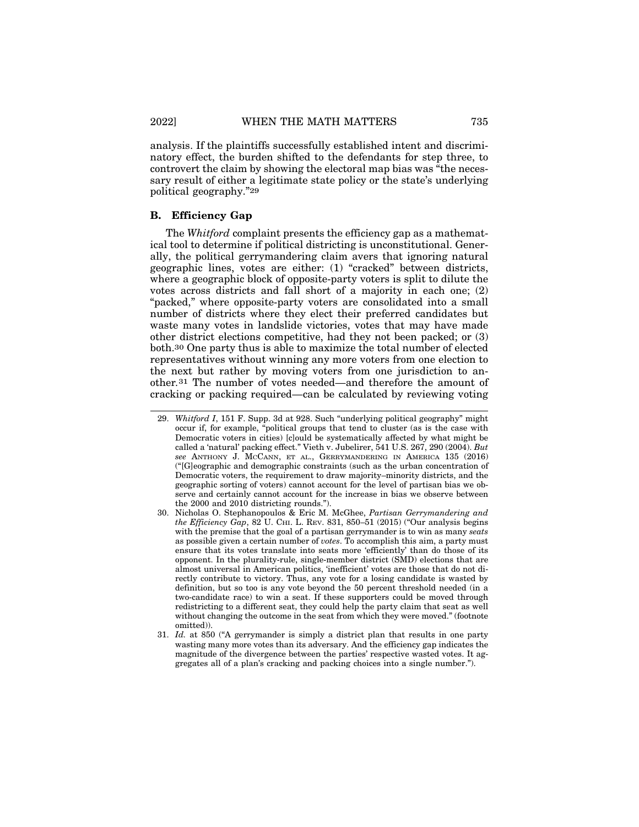analysis. If the plaintiffs successfully established intent and discriminatory effect, the burden shifted to the defendants for step three, to controvert the claim by showing the electoral map bias was "the necessary result of either a legitimate state policy or the state's underlying political geography."29

## **B. Efficiency Gap**

The *Whitford* complaint presents the efficiency gap as a mathematical tool to determine if political districting is unconstitutional. Generally, the political gerrymandering claim avers that ignoring natural geographic lines, votes are either: (1) "cracked" between districts, where a geographic block of opposite-party voters is split to dilute the votes across districts and fall short of a majority in each one; (2) "packed," where opposite-party voters are consolidated into a small number of districts where they elect their preferred candidates but waste many votes in landslide victories, votes that may have made other district elections competitive, had they not been packed; or (3) both.30 One party thus is able to maximize the total number of elected representatives without winning any more voters from one election to the next but rather by moving voters from one jurisdiction to another*.*31 The number of votes needed—and therefore the amount of cracking or packing required—can be calculated by reviewing voting

<sup>29.</sup> *Whitford I*, 151 F. Supp. 3d at 928. Such "underlying political geography" might occur if, for example, "political groups that tend to cluster (as is the case with Democratic voters in cities) [c]ould be systematically affected by what might be called a 'natural' packing effect." Vieth v. Jubelirer, 541 U.S. 267, 290 (2004). *But see* ANTHONY J. MCCANN, ET AL., GERRYMANDERING IN AMERICA 135 (2016) ("[G]eographic and demographic constraints (such as the urban concentration of Democratic voters, the requirement to draw majority–minority districts, and the geographic sorting of voters) cannot account for the level of partisan bias we observe and certainly cannot account for the increase in bias we observe between the 2000 and 2010 districting rounds.").

<sup>30.</sup> Nicholas O. Stephanopoulos & Eric M. McGhee, *Partisan Gerrymandering and the Efficiency Gap*, 82 U. CHI. L. REV. 831, 850–51 (2015) ("Our analysis begins with the premise that the goal of a partisan gerrymander is to win as many *seats* as possible given a certain number of *votes*. To accomplish this aim, a party must ensure that its votes translate into seats more 'efficiently' than do those of its opponent. In the plurality-rule, single-member district (SMD) elections that are almost universal in American politics, 'inefficient' votes are those that do not directly contribute to victory. Thus, any vote for a losing candidate is wasted by definition, but so too is any vote beyond the 50 percent threshold needed (in a two-candidate race) to win a seat. If these supporters could be moved through redistricting to a different seat, they could help the party claim that seat as well without changing the outcome in the seat from which they were moved." (footnote omitted)).

<sup>31.</sup> *Id.* at 850 ("A gerrymander is simply a district plan that results in one party wasting many more votes than its adversary. And the efficiency gap indicates the magnitude of the divergence between the parties' respective wasted votes. It aggregates all of a plan's cracking and packing choices into a single number.").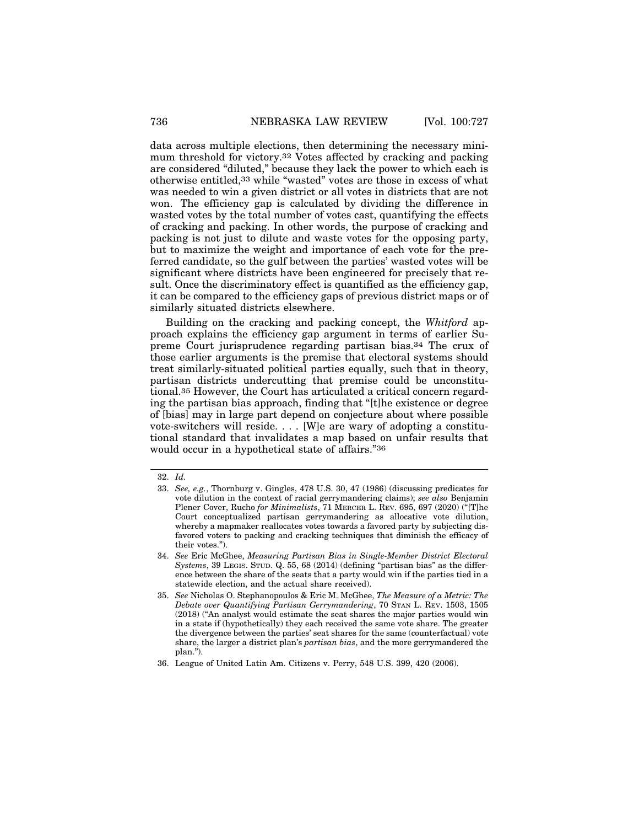data across multiple elections, then determining the necessary minimum threshold for victory.32 Votes affected by cracking and packing are considered "diluted," because they lack the power to which each is otherwise entitled,  $^{33}$  while "wasted" votes are those in excess of what was needed to win a given district or all votes in districts that are not won. The efficiency gap is calculated by dividing the difference in wasted votes by the total number of votes cast, quantifying the effects of cracking and packing. In other words, the purpose of cracking and packing is not just to dilute and waste votes for the opposing party, but to maximize the weight and importance of each vote for the preferred candidate, so the gulf between the parties' wasted votes will be significant where districts have been engineered for precisely that result. Once the discriminatory effect is quantified as the efficiency gap, it can be compared to the efficiency gaps of previous district maps or of similarly situated districts elsewhere.

Building on the cracking and packing concept, the *Whitford* approach explains the efficiency gap argument in terms of earlier Supreme Court jurisprudence regarding partisan bias.34 The crux of those earlier arguments is the premise that electoral systems should treat similarly-situated political parties equally, such that in theory, partisan districts undercutting that premise could be unconstitutional.35 However, the Court has articulated a critical concern regarding the partisan bias approach, finding that "[t]he existence or degree of [bias] may in large part depend on conjecture about where possible vote-switchers will reside. . . . [W]e are wary of adopting a constitutional standard that invalidates a map based on unfair results that would occur in a hypothetical state of affairs."36

34. *See* Eric McGhee, *Measuring Partisan Bias in Single-Member District Electoral Systems*, 39 LEGIS. STUD. Q. 55, 68 (2014) (defining "partisan bias" as the difference between the share of the seats that a party would win if the parties tied in a statewide election, and the actual share received).

<sup>32.</sup> *Id.*

<sup>33.</sup> *See, e.g.*, Thornburg v. Gingles, 478 U.S. 30, 47 (1986) (discussing predicates for vote dilution in the context of racial gerrymandering claims); *see also* Benjamin Plener Cover, Rucho *for Minimalists*, 71 MERCER L. REV. 695, 697 (2020) ("[T]he Court conceptualized partisan gerrymandering as allocative vote dilution, whereby a mapmaker reallocates votes towards a favored party by subjecting disfavored voters to packing and cracking techniques that diminish the efficacy of their votes.").

<sup>35.</sup> *See* Nicholas O. Stephanopoulos & Eric M. McGhee, *The Measure of a Metric: The Debate over Quantifying Partisan Gerrymandering*, 70 STAN L. REV. 1503, 1505 (2018) ("An analyst would estimate the seat shares the major parties would win in a state if (hypothetically) they each received the same vote share. The greater the divergence between the parties' seat shares for the same (counterfactual) vote share, the larger a district plan's *partisan bias*, and the more gerrymandered the plan.").

<sup>36.</sup> League of United Latin Am. Citizens v. Perry, 548 U.S. 399, 420 (2006).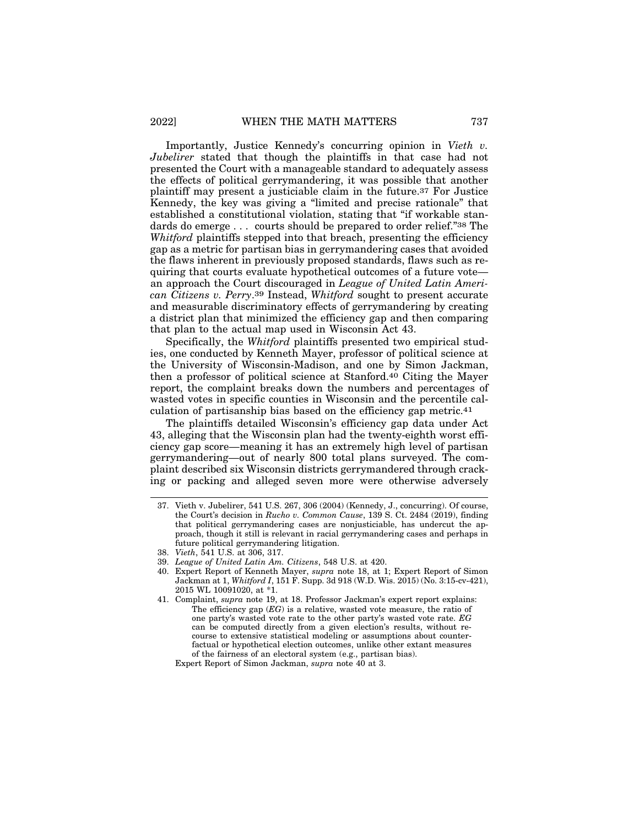Importantly, Justice Kennedy's concurring opinion in *Vieth v. Jubelirer* stated that though the plaintiffs in that case had not presented the Court with a manageable standard to adequately assess the effects of political gerrymandering, it was possible that another plaintiff may present a justiciable claim in the future.37 For Justice Kennedy, the key was giving a "limited and precise rationale" that established a constitutional violation, stating that "if workable standards do emerge . . . courts should be prepared to order relief."38 The *Whitford* plaintiffs stepped into that breach, presenting the efficiency gap as a metric for partisan bias in gerrymandering cases that avoided the flaws inherent in previously proposed standards, flaws such as requiring that courts evaluate hypothetical outcomes of a future vote an approach the Court discouraged in *League of United Latin American Citizens v. Perry*.39 Instead, *Whitford* sought to present accurate and measurable discriminatory effects of gerrymandering by creating a district plan that minimized the efficiency gap and then comparing that plan to the actual map used in Wisconsin Act 43.

Specifically, the *Whitford* plaintiffs presented two empirical studies, one conducted by Kenneth Mayer, professor of political science at the University of Wisconsin-Madison, and one by Simon Jackman, then a professor of political science at Stanford.40 Citing the Mayer report, the complaint breaks down the numbers and percentages of wasted votes in specific counties in Wisconsin and the percentile calculation of partisanship bias based on the efficiency gap metric.41

The plaintiffs detailed Wisconsin's efficiency gap data under Act 43, alleging that the Wisconsin plan had the twenty-eighth worst efficiency gap score—meaning it has an extremely high level of partisan gerrymandering—out of nearly 800 total plans surveyed. The complaint described six Wisconsin districts gerrymandered through cracking or packing and alleged seven more were otherwise adversely

<sup>37.</sup> Vieth v. Jubelirer, 541 U.S. 267, 306 (2004) (Kennedy, J., concurring). Of course, the Court's decision in *Rucho v. Common Cause*, 139 S. Ct. 2484 (2019), finding that political gerrymandering cases are nonjusticiable, has undercut the approach, though it still is relevant in racial gerrymandering cases and perhaps in future political gerrymandering litigation.

<sup>38.</sup> *Vieth*, 541 U.S. at 306, 317.

<sup>39.</sup> *League of United Latin Am. Citizens*, 548 U.S. at 420.

<sup>40.</sup> Expert Report of Kenneth Mayer, *supra* note 18, at 1; Expert Report of Simon Jackman at 1, *Whitford I*, 151 F. Supp. 3d 918 (W.D. Wis. 2015) (No. 3:15-cv-421), 2015 WL 10091020, at \*1.

<sup>41.</sup> Complaint, *supra* note 19, at 18. Professor Jackman's expert report explains: The efficiency gap (*EG*) is a relative, wasted vote measure, the ratio of one party's wasted vote rate to the other party's wasted vote rate. *EG* can be computed directly from a given election's results, without recourse to extensive statistical modeling or assumptions about counterfactual or hypothetical election outcomes, unlike other extant measures of the fairness of an electoral system (e.g., partisan bias). Expert Report of Simon Jackman, *supra* note 40 at 3.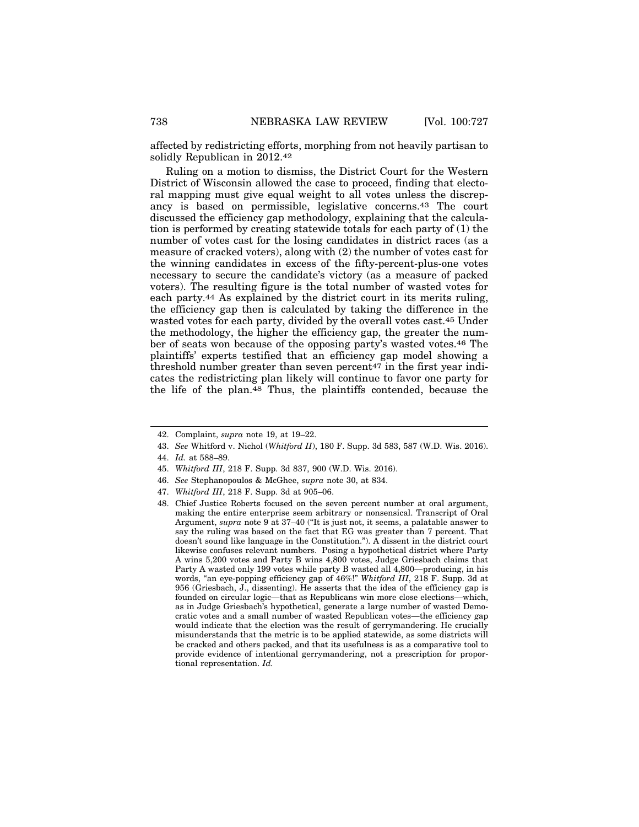affected by redistricting efforts, morphing from not heavily partisan to solidly Republican in 2012.42

Ruling on a motion to dismiss, the District Court for the Western District of Wisconsin allowed the case to proceed, finding that electoral mapping must give equal weight to all votes unless the discrepancy is based on permissible, legislative concerns.43 The court discussed the efficiency gap methodology, explaining that the calculation is performed by creating statewide totals for each party of (1) the number of votes cast for the losing candidates in district races (as a measure of cracked voters), along with (2) the number of votes cast for the winning candidates in excess of the fifty-percent-plus-one votes necessary to secure the candidate's victory (as a measure of packed voters). The resulting figure is the total number of wasted votes for each party.44 As explained by the district court in its merits ruling, the efficiency gap then is calculated by taking the difference in the wasted votes for each party, divided by the overall votes cast.45 Under the methodology, the higher the efficiency gap, the greater the number of seats won because of the opposing party's wasted votes.46 The plaintiffs' experts testified that an efficiency gap model showing a threshold number greater than seven percent<sup>47</sup> in the first year indicates the redistricting plan likely will continue to favor one party for the life of the plan.48 Thus, the plaintiffs contended, because the

- 45. *Whitford III*, 218 F. Supp. 3d 837, 900 (W.D. Wis. 2016).
- 46. *See* Stephanopoulos & McGhee, *supra* note 30, at 834.
- 47. *Whitford III*, 218 F. Supp. 3d at 905–06.

<sup>42.</sup> Complaint, *supra* note 19, at 19–22.

<sup>43.</sup> *See* Whitford v. Nichol (*Whitford II*), 180 F. Supp. 3d 583, 587 (W.D. Wis. 2016). 44. *Id.* at 588–89.

<sup>48.</sup> Chief Justice Roberts focused on the seven percent number at oral argument, making the entire enterprise seem arbitrary or nonsensical. Transcript of Oral Argument, *supra* note 9 at 37–40 ("It is just not, it seems, a palatable answer to say the ruling was based on the fact that EG was greater than 7 percent. That doesn't sound like language in the Constitution."). A dissent in the district court likewise confuses relevant numbers. Posing a hypothetical district where Party A wins 5,200 votes and Party B wins 4,800 votes, Judge Griesbach claims that Party A wasted only 199 votes while party B wasted all 4,800—producing, in his words, "an eye-popping efficiency gap of 46%!" *Whitford III*, 218 F. Supp. 3d at 956 (Griesbach, J., dissenting). He asserts that the idea of the efficiency gap is founded on circular logic—that as Republicans win more close elections—which, as in Judge Griesbach's hypothetical, generate a large number of wasted Democratic votes and a small number of wasted Republican votes—the efficiency gap would indicate that the election was the result of gerrymandering. He crucially misunderstands that the metric is to be applied statewide, as some districts will be cracked and others packed, and that its usefulness is as a comparative tool to provide evidence of intentional gerrymandering, not a prescription for proportional representation. *Id.*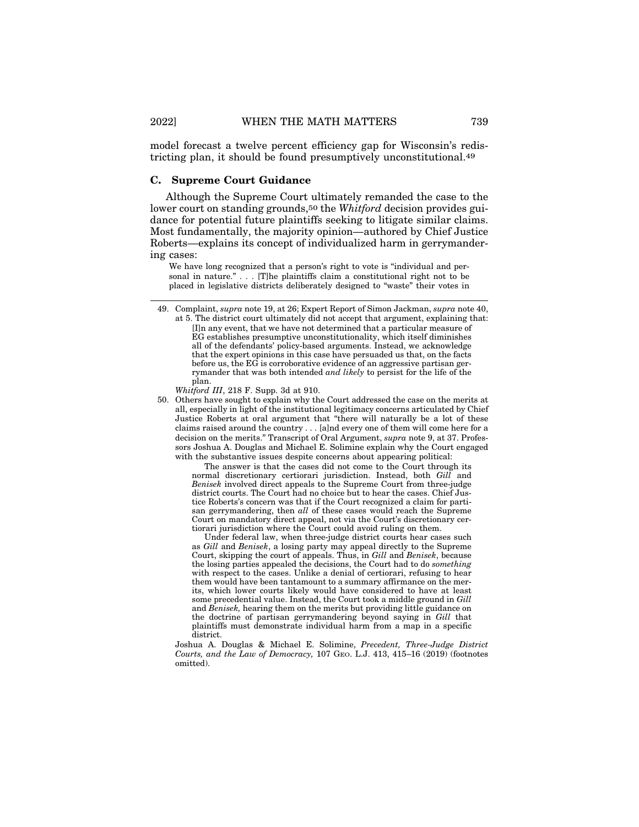model forecast a twelve percent efficiency gap for Wisconsin's redistricting plan, it should be found presumptively unconstitutional.49

#### **C. Supreme Court Guidance**

Although the Supreme Court ultimately remanded the case to the lower court on standing grounds,<sup>50</sup> the *Whitford* decision provides guidance for potential future plaintiffs seeking to litigate similar claims. Most fundamentally, the majority opinion—authored by Chief Justice Roberts—explains its concept of individualized harm in gerrymandering cases:

We have long recognized that a person's right to vote is "individual and personal in nature." . . . [T]he plaintiffs claim a constitutional right not to be placed in legislative districts deliberately designed to "waste" their votes in

*Whitford III*, 218 F. Supp. 3d at 910.

50. Others have sought to explain why the Court addressed the case on the merits at all, especially in light of the institutional legitimacy concerns articulated by Chief Justice Roberts at oral argument that "there will naturally be a lot of these claims raised around the country . . . [a]nd every one of them will come here for a decision on the merits." Transcript of Oral Argument, *supra* note 9, at 37. Professors Joshua A. Douglas and Michael E. Solimine explain why the Court engaged with the substantive issues despite concerns about appearing political:

The answer is that the cases did not come to the Court through its normal discretionary certiorari jurisdiction. Instead, both *Gill* and *Benisek* involved direct appeals to the Supreme Court from three-judge district courts. The Court had no choice but to hear the cases. Chief Justice Roberts's concern was that if the Court recognized a claim for partisan gerrymandering, then *all* of these cases would reach the Supreme Court on mandatory direct appeal, not via the Court's discretionary certiorari jurisdiction where the Court could avoid ruling on them.

Under federal law, when three-judge district courts hear cases such as *Gill* and *Benisek*, a losing party may appeal directly to the Supreme Court, skipping the court of appeals. Thus, in *Gill* and *Benisek*, because the losing parties appealed the decisions, the Court had to do *something* with respect to the cases. Unlike a denial of certiorari, refusing to hear them would have been tantamount to a summary affirmance on the merits, which lower courts likely would have considered to have at least some precedential value. Instead, the Court took a middle ground in *Gill* and *Benisek,* hearing them on the merits but providing little guidance on the doctrine of partisan gerrymandering beyond saying in *Gill* that plaintiffs must demonstrate individual harm from a map in a specific district.

Joshua A. Douglas & Michael E. Solimine, *Precedent, Three-Judge District Courts, and the Law of Democracy,* 107 GEO. L.J. 413, 415–16 (2019) (footnotes omitted).

<sup>49.</sup> Complaint, *supra* note 19, at 26; Expert Report of Simon Jackman, *supra* note 40, at 5. The district court ultimately did not accept that argument, explaining that: [I]n any event, that we have not determined that a particular measure of EG establishes presumptive unconstitutionality, which itself diminishes all of the defendants' policy-based arguments. Instead, we acknowledge that the expert opinions in this case have persuaded us that, on the facts before us, the EG is corroborative evidence of an aggressive partisan gerrymander that was both intended *and likely* to persist for the life of the plan.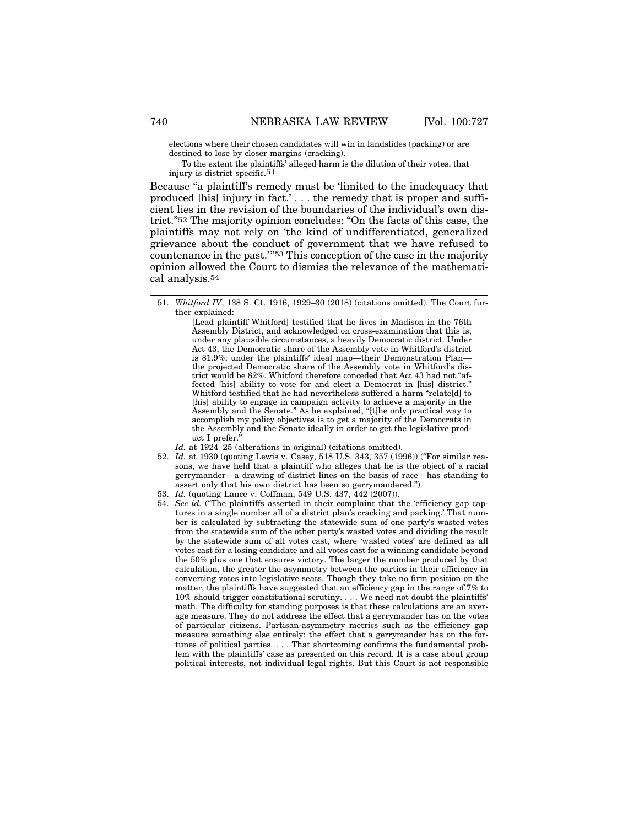elections where their chosen candidates will win in landslides (packing) or are destined to lose by closer margins (cracking).

To the extent the plaintiffs' alleged harm is the dilution of their votes, that injury is district specific.51

Because "a plaintiff's remedy must be 'limited to the inadequacy that produced [his] injury in fact.' . . . the remedy that is proper and sufficient lies in the revision of the boundaries of the individual's own district."52 The majority opinion concludes: "On the facts of this case, the plaintiffs may not rely on 'the kind of undifferentiated, generalized grievance about the conduct of government that we have refused to countenance in the past.'"53 This conception of the case in the majority opinion allowed the Court to dismiss the relevance of the mathematical analysis.54

- 52. *Id.* at 1930 (quoting Lewis v. Casey, 518 U.S. 343, 357 (1996)) ("For similar reasons, we have held that a plaintiff who alleges that he is the object of a racial gerrymander—a drawing of district lines on the basis of race—has standing to assert only that his own district has been so gerrymandered.").
- 53. *Id.* (quoting Lance v. Coffman, 549 U.S. 437, 442 (2007)).
- 54. *See id.* ("The plaintiffs asserted in their complaint that the 'efficiency gap captures in a single number all of a district plan's cracking and packing.' That number is calculated by subtracting the statewide sum of one party's wasted votes from the statewide sum of the other party's wasted votes and dividing the result by the statewide sum of all votes cast, where 'wasted votes' are defined as all votes cast for a losing candidate and all votes cast for a winning candidate beyond the 50% plus one that ensures victory. The larger the number produced by that calculation, the greater the asymmetry between the parties in their efficiency in converting votes into legislative seats. Though they take no firm position on the matter, the plaintiffs have suggested that an efficiency gap in the range of 7% to 10% should trigger constitutional scrutiny. . . . We need not doubt the plaintiffs' math. The difficulty for standing purposes is that these calculations are an average measure. They do not address the effect that a gerrymander has on the votes of particular citizens. Partisan-asymmetry metrics such as the efficiency gap measure something else entirely: the effect that a gerrymander has on the fortunes of political parties. . . . That shortcoming confirms the fundamental problem with the plaintiffs' case as presented on this record. It is a case about group political interests, not individual legal rights. But this Court is not responsible

<sup>51.</sup> *Whitford IV*, 138 S. Ct. 1916, 1929–30 (2018) (citations omitted). The Court further explained:

<sup>[</sup>Lead plaintiff Whitford] testified that he lives in Madison in the 76th Assembly District, and acknowledged on cross-examination that this is, under any plausible circumstances, a heavily Democratic district. Under Act 43, the Democratic share of the Assembly vote in Whitford's district is 81.9%; under the plaintiffs' ideal map—their Demonstration Plan the projected Democratic share of the Assembly vote in Whitford's district would be 82%. Whitford therefore conceded that Act 43 had not "affected [his] ability to vote for and elect a Democrat in [his] district." Whitford testified that he had nevertheless suffered a harm "relate[d] to [his] ability to engage in campaign activity to achieve a majority in the Assembly and the Senate." As he explained, "[t]he only practical way to accomplish my policy objectives is to get a majority of the Democrats in the Assembly and the Senate ideally in order to get the legislative product I prefer."

*Id.* at 1924–25 (alterations in original) (citations omitted).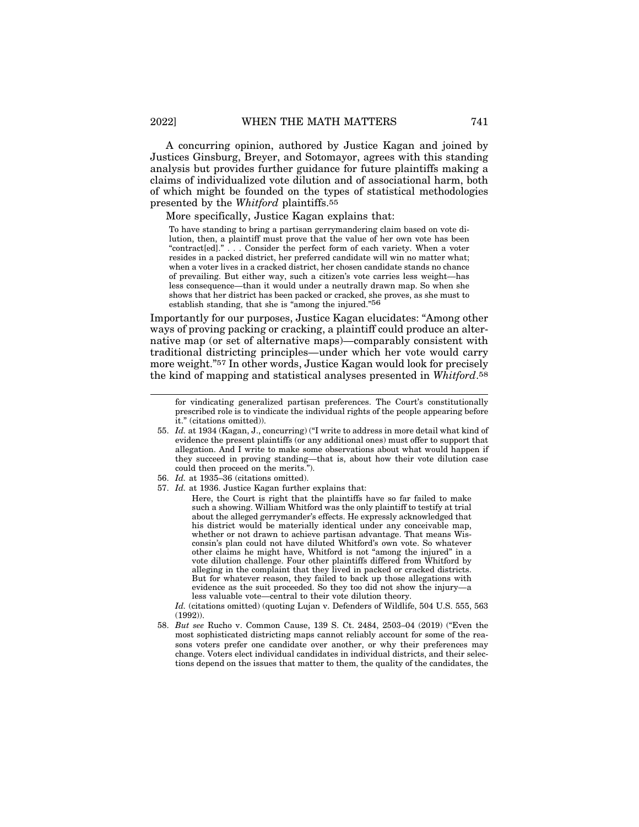A concurring opinion, authored by Justice Kagan and joined by Justices Ginsburg, Breyer, and Sotomayor, agrees with this standing analysis but provides further guidance for future plaintiffs making a claims of individualized vote dilution and of associational harm, both of which might be founded on the types of statistical methodologies presented by the *Whitford* plaintiffs.55

More specifically, Justice Kagan explains that:

To have standing to bring a partisan gerrymandering claim based on vote dilution, then, a plaintiff must prove that the value of her own vote has been "contract[ed]." . . . Consider the perfect form of each variety. When a voter resides in a packed district, her preferred candidate will win no matter what; when a voter lives in a cracked district, her chosen candidate stands no chance of prevailing. But either way, such a citizen's vote carries less weight—has less consequence—than it would under a neutrally drawn map. So when she shows that her district has been packed or cracked, she proves, as she must to establish standing, that she is "among the injured."56

Importantly for our purposes, Justice Kagan elucidates: "Among other ways of proving packing or cracking, a plaintiff could produce an alternative map (or set of alternative maps)—comparably consistent with traditional districting principles—under which her vote would carry more weight."57 In other words, Justice Kagan would look for precisely the kind of mapping and statistical analyses presented in *Whitford*.58

- 56. *Id.* at 1935–36 (citations omitted).
- 57. *Id.* at 1936. Justice Kagan further explains that:

Here, the Court is right that the plaintiffs have so far failed to make such a showing. William Whitford was the only plaintiff to testify at trial about the alleged gerrymander's effects. He expressly acknowledged that his district would be materially identical under any conceivable map, whether or not drawn to achieve partisan advantage. That means Wisconsin's plan could not have diluted Whitford's own vote. So whatever other claims he might have, Whitford is not "among the injured" in a vote dilution challenge. Four other plaintiffs differed from Whitford by alleging in the complaint that they lived in packed or cracked districts. But for whatever reason, they failed to back up those allegations with evidence as the suit proceeded. So they too did not show the injury—a less valuable vote—central to their vote dilution theory.

*Id.* (citations omitted) (quoting Lujan v. Defenders of Wildlife, 504 U.S. 555, 563  $(1992)$ 

58. *But see* Rucho v. Common Cause, 139 S. Ct. 2484, 2503–04 (2019) ("Even the most sophisticated districting maps cannot reliably account for some of the reasons voters prefer one candidate over another, or why their preferences may change. Voters elect individual candidates in individual districts, and their selections depend on the issues that matter to them, the quality of the candidates, the

for vindicating generalized partisan preferences. The Court's constitutionally prescribed role is to vindicate the individual rights of the people appearing before it." (citations omitted)).

<sup>55.</sup> *Id.* at 1934 (Kagan, J., concurring) ("I write to address in more detail what kind of evidence the present plaintiffs (or any additional ones) must offer to support that allegation. And I write to make some observations about what would happen if they succeed in proving standing—that is, about how their vote dilution case could then proceed on the merits.").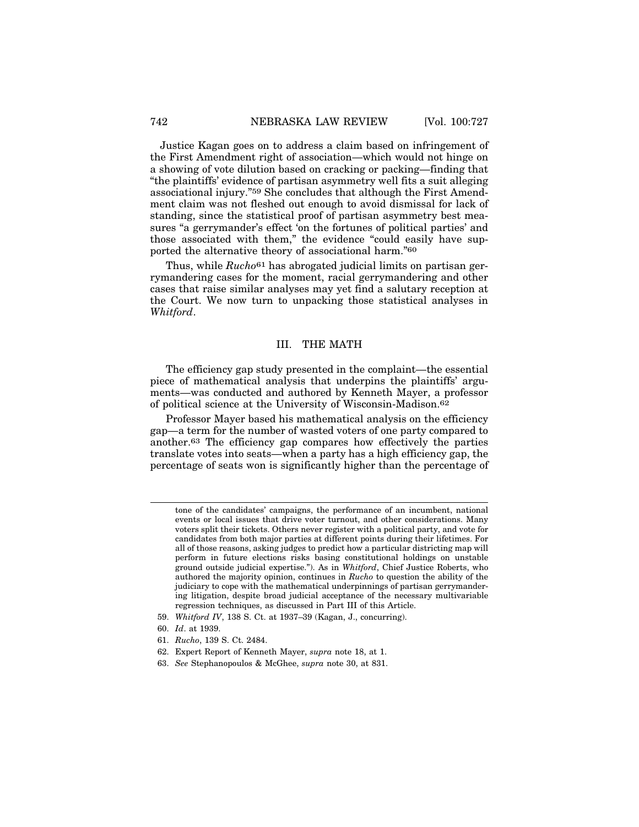Justice Kagan goes on to address a claim based on infringement of the First Amendment right of association—which would not hinge on a showing of vote dilution based on cracking or packing—finding that "the plaintiffs' evidence of partisan asymmetry well fits a suit alleging associational injury."59 She concludes that although the First Amendment claim was not fleshed out enough to avoid dismissal for lack of standing, since the statistical proof of partisan asymmetry best measures "a gerrymander's effect 'on the fortunes of political parties' and those associated with them," the evidence "could easily have supported the alternative theory of associational harm."60

Thus, while *Rucho*61 has abrogated judicial limits on partisan gerrymandering cases for the moment, racial gerrymandering and other cases that raise similar analyses may yet find a salutary reception at the Court. We now turn to unpacking those statistical analyses in *Whitford*.

#### III. THE MATH

The efficiency gap study presented in the complaint—the essential piece of mathematical analysis that underpins the plaintiffs' arguments—was conducted and authored by Kenneth Mayer, a professor of political science at the University of Wisconsin-Madison.62

Professor Mayer based his mathematical analysis on the efficiency gap—a term for the number of wasted voters of one party compared to another.63 The efficiency gap compares how effectively the parties translate votes into seats—when a party has a high efficiency gap, the percentage of seats won is significantly higher than the percentage of

- 59. *Whitford IV*, 138 S. Ct. at 1937–39 (Kagan, J., concurring).
- 60. *Id*. at 1939.
- 61. *Rucho*, 139 S. Ct. 2484.
- 62. Expert Report of Kenneth Mayer, *supra* note 18, at 1.
- 63. *See* Stephanopoulos & McGhee, *supra* note 30, at 831.

tone of the candidates' campaigns, the performance of an incumbent, national events or local issues that drive voter turnout, and other considerations. Many voters split their tickets. Others never register with a political party, and vote for candidates from both major parties at different points during their lifetimes. For all of those reasons, asking judges to predict how a particular districting map will perform in future elections risks basing constitutional holdings on unstable ground outside judicial expertise."). As in *Whitford*, Chief Justice Roberts, who authored the majority opinion, continues in *Rucho* to question the ability of the judiciary to cope with the mathematical underpinnings of partisan gerrymandering litigation, despite broad judicial acceptance of the necessary multivariable regression techniques, as discussed in Part III of this Article.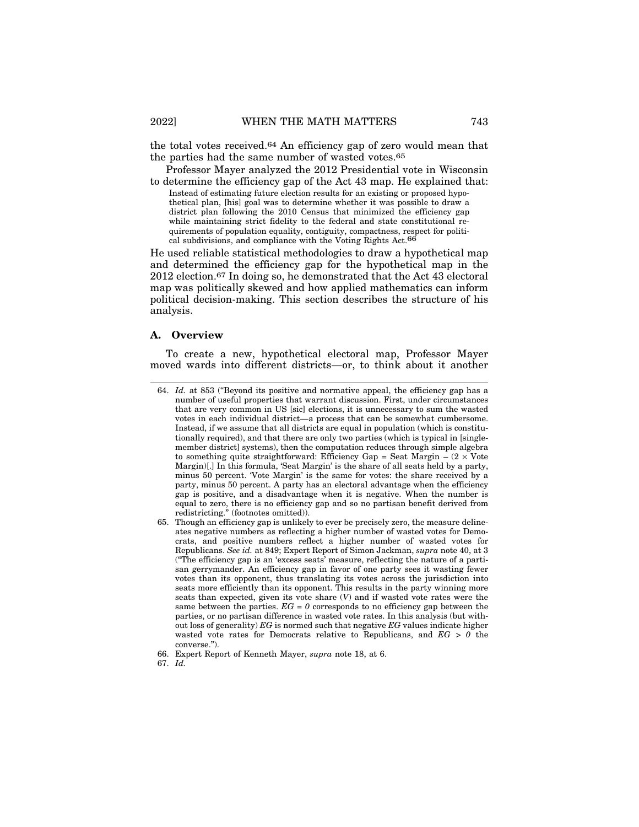the total votes received.64 An efficiency gap of zero would mean that the parties had the same number of wasted votes.65

Professor Mayer analyzed the 2012 Presidential vote in Wisconsin to determine the efficiency gap of the Act 43 map. He explained that:

Instead of estimating future election results for an existing or proposed hypothetical plan, [his] goal was to determine whether it was possible to draw a district plan following the 2010 Census that minimized the efficiency gap while maintaining strict fidelity to the federal and state constitutional requirements of population equality, contiguity, compactness, respect for political subdivisions, and compliance with the Voting Rights Act.66

He used reliable statistical methodologies to draw a hypothetical map and determined the efficiency gap for the hypothetical map in the 2012 election.67 In doing so, he demonstrated that the Act 43 electoral map was politically skewed and how applied mathematics can inform political decision-making. This section describes the structure of his analysis.

#### **A. Overview**

To create a new, hypothetical electoral map, Professor Mayer moved wards into different districts—or, to think about it another

<sup>64.</sup> *Id.* at 853 ("Beyond its positive and normative appeal, the efficiency gap has a number of useful properties that warrant discussion. First, under circumstances that are very common in US [sic] elections, it is unnecessary to sum the wasted votes in each individual district—a process that can be somewhat cumbersome. Instead, if we assume that all districts are equal in population (which is constitutionally required), and that there are only two parties (which is typical in [singlemember district] systems), then the computation reduces through simple algebra to something quite straightforward: Efficiency Gap = Seat Margin  $- (2 \times V_0)$ Margin)[.] In this formula, 'Seat Margin' is the share of all seats held by a party, minus 50 percent. 'Vote Margin' is the same for votes: the share received by a party, minus 50 percent. A party has an electoral advantage when the efficiency gap is positive, and a disadvantage when it is negative. When the number is equal to zero, there is no efficiency gap and so no partisan benefit derived from redistricting." (footnotes omitted)).

<sup>65.</sup> Though an efficiency gap is unlikely to ever be precisely zero, the measure delineates negative numbers as reflecting a higher number of wasted votes for Democrats, and positive numbers reflect a higher number of wasted votes for Republicans. *See id.* at 849; Expert Report of Simon Jackman, *supra* note 40, at 3 ("The efficiency gap is an 'excess seats' measure, reflecting the nature of a partisan gerrymander. An efficiency gap in favor of one party sees it wasting fewer votes than its opponent, thus translating its votes across the jurisdiction into seats more efficiently than its opponent. This results in the party winning more seats than expected, given its vote share (*V*) and if wasted vote rates were the same between the parties.  $EG = 0$  corresponds to no efficiency gap between the parties, or no partisan difference in wasted vote rates. In this analysis (but without loss of generality) *EG* is normed such that negative *EG* values indicate higher wasted vote rates for Democrats relative to Republicans, and *EG > 0* the converse.").

<sup>66.</sup> Expert Report of Kenneth Mayer, *supra* note 18, at 6.

<sup>67.</sup> *Id.*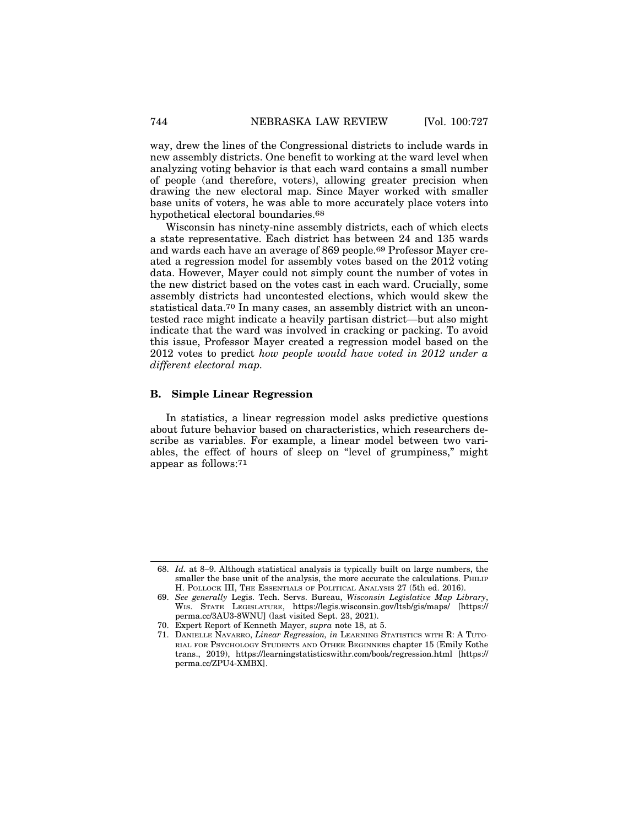way, drew the lines of the Congressional districts to include wards in new assembly districts. One benefit to working at the ward level when analyzing voting behavior is that each ward contains a small number of people (and therefore, voters), allowing greater precision when drawing the new electoral map. Since Mayer worked with smaller base units of voters, he was able to more accurately place voters into hypothetical electoral boundaries.68

Wisconsin has ninety-nine assembly districts, each of which elects a state representative. Each district has between 24 and 135 wards and wards each have an average of 869 people.69 Professor Mayer created a regression model for assembly votes based on the 2012 voting data. However, Mayer could not simply count the number of votes in the new district based on the votes cast in each ward. Crucially, some assembly districts had uncontested elections, which would skew the statistical data.70 In many cases, an assembly district with an uncontested race might indicate a heavily partisan district—but also might indicate that the ward was involved in cracking or packing. To avoid this issue, Professor Mayer created a regression model based on the 2012 votes to predict *how people would have voted in 2012 under a different electoral map.*

#### **B. Simple Linear Regression**

In statistics, a linear regression model asks predictive questions about future behavior based on characteristics, which researchers describe as variables. For example, a linear model between two variables, the effect of hours of sleep on "level of grumpiness," might appear as follows:71

<sup>68.</sup> *Id.* at 8–9. Although statistical analysis is typically built on large numbers, the smaller the base unit of the analysis, the more accurate the calculations. PHILIP H. POLLOCK III, THE ESSENTIALS OF POLITICAL ANALYSIS 27 (5th ed. 2016).

<sup>69.</sup> *See generally* Legis. Tech. Servs. Bureau, *Wisconsin Legislative Map Library*, WIS. STATE LEGISLATURE, https://legis.wisconsin.gov/ltsb/gis/maps/ [https:// perma.cc/3AU3-8WNU] (last visited Sept. 23, 2021).

<sup>70.</sup> Expert Report of Kenneth Mayer, *supra* note 18, at 5.

<sup>71.</sup> DANIELLE NAVARRO, *Linear Regression, in* LEARNING STATISTICS WITH R: A TUTO-RIAL FOR PSYCHOLOGY STUDENTS AND OTHER BEGINNERS chapter 15 (Emily Kothe trans., 2019), https://learningstatisticswithr.com/book/regression.html [https:// perma.cc/ZPU4-XMBX].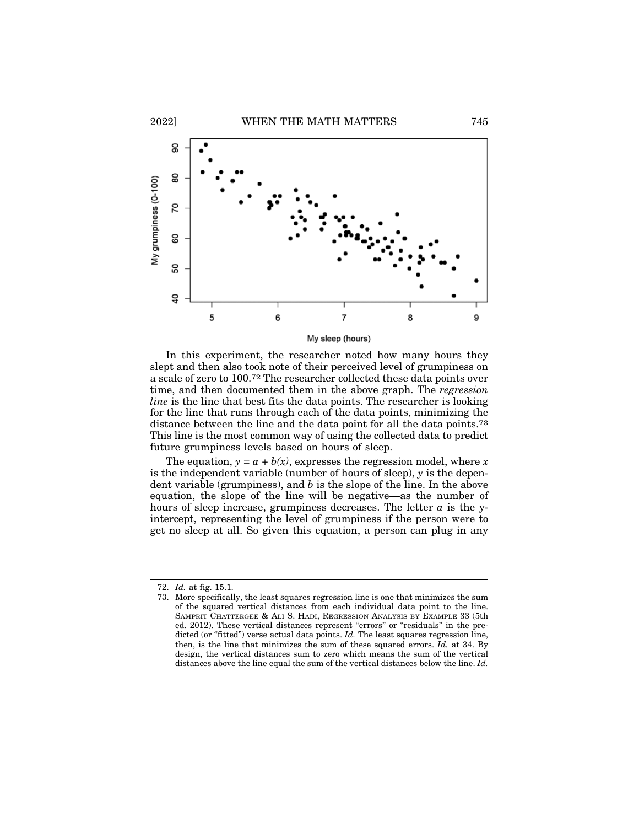

In this experiment, the researcher noted how many hours they slept and then also took note of their perceived level of grumpiness on a scale of zero to 100.72 The researcher collected these data points over time, and then documented them in the above graph. The *regression line* is the line that best fits the data points. The researcher is looking for the line that runs through each of the data points, minimizing the distance between the line and the data point for all the data points.73 This line is the most common way of using the collected data to predict future grumpiness levels based on hours of sleep.

The equation,  $y = a + b(x)$ , expresses the regression model, where *x* is the independent variable (number of hours of sleep), *y* is the dependent variable (grumpiness), and *b* is the slope of the line. In the above equation, the slope of the line will be negative—as the number of hours of sleep increase, grumpiness decreases. The letter *a* is the yintercept, representing the level of grumpiness if the person were to get no sleep at all. So given this equation, a person can plug in any

<sup>72.</sup> *Id.* at fig. 15.1.

<sup>73.</sup> More specifically, the least squares regression line is one that minimizes the sum of the squared vertical distances from each individual data point to the line. SAMPRIT CHATTERGEE & ALI S. HADI, REGRESSION ANALYSIS BY EXAMPLE 33 (5th ed. 2012). These vertical distances represent "errors" or "residuals" in the predicted (or "fitted") verse actual data points. *Id.* The least squares regression line, then, is the line that minimizes the sum of these squared errors. *Id.* at 34. By design, the vertical distances sum to zero which means the sum of the vertical distances above the line equal the sum of the vertical distances below the line. *Id.*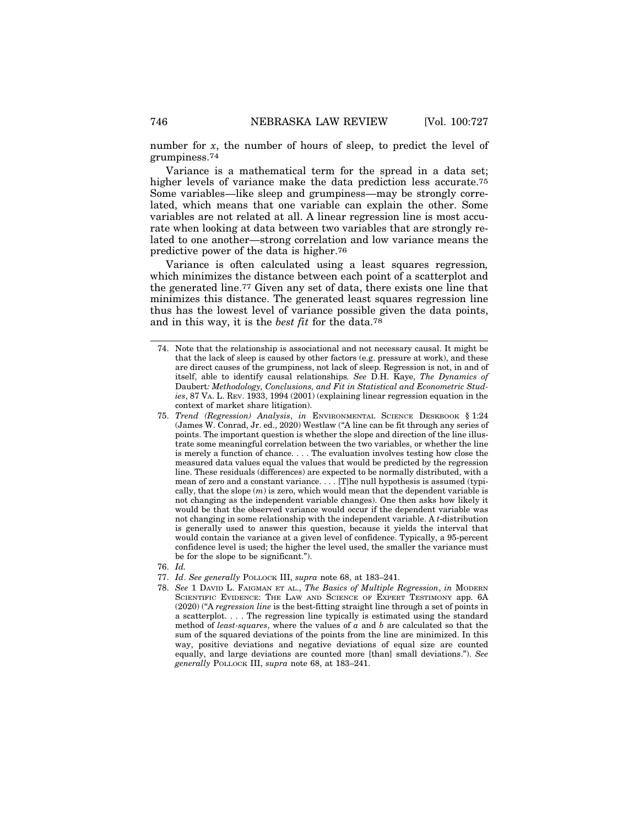number for *x*, the number of hours of sleep, to predict the level of grumpiness.74

Variance is a mathematical term for the spread in a data set; higher levels of variance make the data prediction less accurate.<sup>75</sup> Some variables—like sleep and grumpiness—may be strongly correlated, which means that one variable can explain the other. Some variables are not related at all. A linear regression line is most accurate when looking at data between two variables that are strongly related to one another—strong correlation and low variance means the predictive power of the data is higher.76

Variance is often calculated using a least squares regression*,* which minimizes the distance between each point of a scatterplot and the generated line.77 Given any set of data, there exists one line that minimizes this distance. The generated least squares regression line thus has the lowest level of variance possible given the data points, and in this way, it is the *best fit* for the data.78

<sup>74.</sup> Note that the relationship is associational and not necessary causal. It might be that the lack of sleep is caused by other factors (e.g. pressure at work), and these are direct causes of the grumpiness, not lack of sleep. Regression is not, in and of itself, able to identify causal relationships*. See* D.H. Kaye, *The Dynamics of* Daubert*: Methodology, Conclusions, and Fit in Statistical and Econometric Studies*, 87 VA. L. REV. 1933, 1994 (2001) (explaining linear regression equation in the context of market share litigation).

<sup>75.</sup> *Trend (Regression) Analysis*, *in* ENVIRONMENTAL SCIENCE DESKBOOK § 1:24 (James W. Conrad, Jr. ed., 2020) Westlaw ("A line can be fit through any series of points. The important question is whether the slope and direction of the line illustrate some meaningful correlation between the two variables, or whether the line is merely a function of chance. . . . The evaluation involves testing how close the measured data values equal the values that would be predicted by the regression line. These residuals (differences) are expected to be normally distributed, with a mean of zero and a constant variance. . . . [T]he null hypothesis is assumed (typically, that the slope (*m*) is zero, which would mean that the dependent variable is not changing as the independent variable changes). One then asks how likely it would be that the observed variance would occur if the dependent variable was not changing in some relationship with the independent variable. A *t*-distribution is generally used to answer this question, because it yields the interval that would contain the variance at a given level of confidence. Typically, a 95-percent confidence level is used; the higher the level used, the smaller the variance must be for the slope to be significant.").

<sup>76.</sup> *Id.*

<sup>77.</sup> *Id*. *See generally* POLLOCK III, *supra* note 68, at 183–241.

<sup>78.</sup> *See* 1 DAVID L. FAIGMAN ET AL., *The Basics of Multiple Regression*, *in* MODERN SCIENTIFIC EVIDENCE: THE LAW AND SCIENCE OF EXPERT TESTIMONY app. 6A (2020) ("A *regression line* is the best-fitting straight line through a set of points in a scatterplot. . . . The regression line typically is estimated using the standard method of *least-squares*, where the values of *a* and *b* are calculated so that the sum of the squared deviations of the points from the line are minimized. In this way, positive deviations and negative deviations of equal size are counted equally, and large deviations are counted more [than] small deviations."). *See generally* POLLOCK III, *supra* note 68, at 183–241.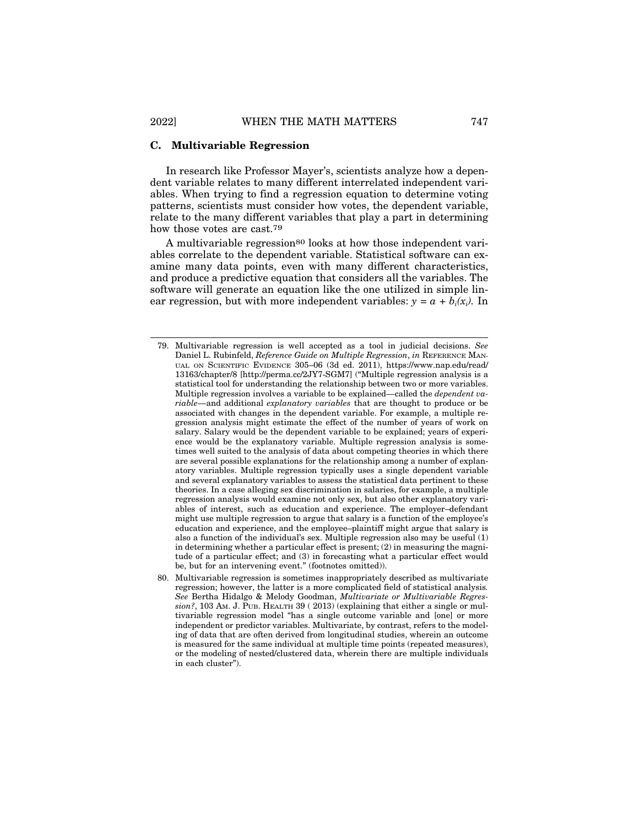#### **C. Multivariable Regression**

In research like Professor Mayer's, scientists analyze how a dependent variable relates to many different interrelated independent variables. When trying to find a regression equation to determine voting patterns, scientists must consider how votes, the dependent variable, relate to the many different variables that play a part in determining how those votes are cast.79

A multivariable regression<sup>80</sup> looks at how those independent variables correlate to the dependent variable. Statistical software can examine many data points, even with many different characteristics, and produce a predictive equation that considers all the variables. The software will generate an equation like the one utilized in simple linear regression, but with more independent variables:  $y = a + b_i(x_i)$ . In

<sup>79.</sup> Multivariable regression is well accepted as a tool in judicial decisions. *See* Daniel L. Rubinfeld, *Reference Guide on Multiple Regression*, *in* REFERENCE MAN-UAL ON SCIENTIFIC EVIDENCE 305–06 (3d ed. 2011), https://www.nap.edu/read/ 13163/chapter/8 [http://perma.cc/2JY7-SGM7] ("Multiple regression analysis is a statistical tool for understanding the relationship between two or more variables. Multiple regression involves a variable to be explained—called the *dependent variable*—and additional *explanatory variables* that are thought to produce or be associated with changes in the dependent variable. For example, a multiple regression analysis might estimate the effect of the number of years of work on salary. Salary would be the dependent variable to be explained; years of experience would be the explanatory variable. Multiple regression analysis is sometimes well suited to the analysis of data about competing theories in which there are several possible explanations for the relationship among a number of explanatory variables. Multiple regression typically uses a single dependent variable and several explanatory variables to assess the statistical data pertinent to these theories. In a case alleging sex discrimination in salaries, for example, a multiple regression analysis would examine not only sex, but also other explanatory variables of interest, such as education and experience. The employer–defendant might use multiple regression to argue that salary is a function of the employee's education and experience, and the employee–plaintiff might argue that salary is also a function of the individual's sex. Multiple regression also may be useful (1) in determining whether a particular effect is present; (2) in measuring the magnitude of a particular effect; and (3) in forecasting what a particular effect would be, but for an intervening event." (footnotes omitted)).

<sup>80.</sup> Multivariable regression is sometimes inappropriately described as multivariate regression; however, the latter is a more complicated field of statistical analysis*. See* Bertha Hidalgo & Melody Goodman, *Multivariate or Multivariable Regression?*, 103 AM. J. PUB. HEALTH 39 ( 2013) (explaining that either a single or multivariable regression model "has a single outcome variable and [one] or more independent or predictor variables. Multivariate, by contrast, refers to the modeling of data that are often derived from longitudinal studies, wherein an outcome is measured for the same individual at multiple time points (repeated measures), or the modeling of nested/clustered data, wherein there are multiple individuals in each cluster").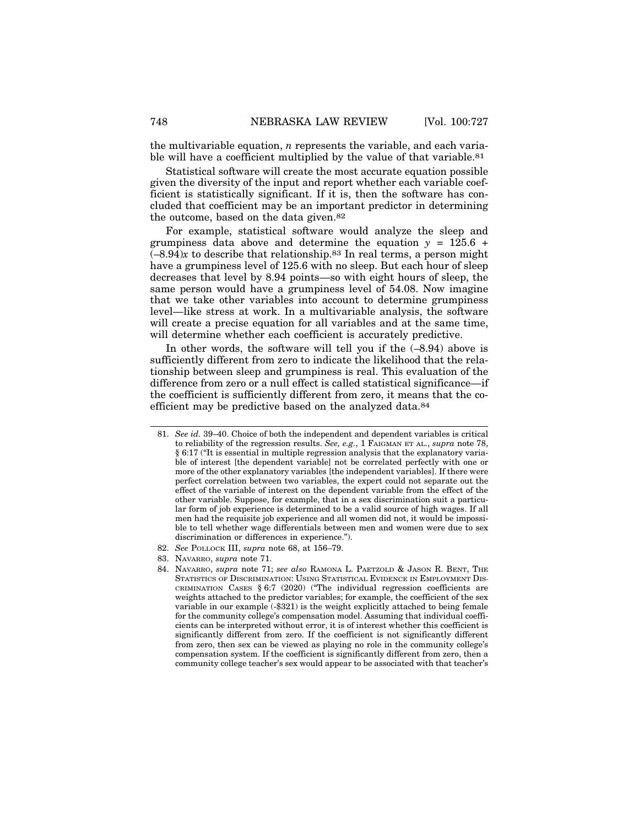the multivariable equation, *n* represents the variable, and each variable will have a coefficient multiplied by the value of that variable.81

Statistical software will create the most accurate equation possible given the diversity of the input and report whether each variable coefficient is statistically significant. If it is, then the software has concluded that coefficient may be an important predictor in determining the outcome, based on the data given.82

For example, statistical software would analyze the sleep and grumpiness data above and determine the equation  $y = 125.6 +$  $(-8.94)x$  to describe that relationship.<sup>83</sup> In real terms, a person might have a grumpiness level of 125.6 with no sleep. But each hour of sleep decreases that level by 8.94 points—so with eight hours of sleep, the same person would have a grumpiness level of 54.08. Now imagine that we take other variables into account to determine grumpiness level—like stress at work. In a multivariable analysis, the software will create a precise equation for all variables and at the same time, will determine whether each coefficient is accurately predictive.

In other words, the software will tell you if the  $(-8.94)$  above is sufficiently different from zero to indicate the likelihood that the relationship between sleep and grumpiness is real. This evaluation of the difference from zero or a null effect is called statistical significance—if the coefficient is sufficiently different from zero, it means that the coefficient may be predictive based on the analyzed data.84

<sup>81.</sup> *See id.* 39–40. Choice of both the independent and dependent variables is critical to reliability of the regression results. *See, e.g.*, 1 FAIGMAN ET AL., *supra* note 78, § 6:17 ("It is essential in multiple regression analysis that the explanatory variable of interest [the dependent variable] not be correlated perfectly with one or more of the other explanatory variables [the independent variables]. If there were perfect correlation between two variables, the expert could not separate out the effect of the variable of interest on the dependent variable from the effect of the other variable. Suppose, for example, that in a sex discrimination suit a particular form of job experience is determined to be a valid source of high wages. If all men had the requisite job experience and all women did not, it would be impossible to tell whether wage differentials between men and women were due to sex discrimination or differences in experience.").

<sup>82.</sup> *See* POLLOCK III, *supra* note 68, at 156–79.

<sup>83.</sup> NAVARRO, *supra* note 71.

<sup>84.</sup> NAVARRO, *supra* note 71; *see also* RAMONA L. PAETZOLD & JASON R. BENT, THE STATISTICS OF DISCRIMINATION: USING STATISTICAL EVIDENCE IN EMPLOYMENT DIS-CRIMINATION CASES § 6:7 (2020) ("The individual regression coefficients are weights attached to the predictor variables; for example, the coefficient of the sex variable in our example (-\$321) is the weight explicitly attached to being female for the community college's compensation model. Assuming that individual coefficients can be interpreted without error, it is of interest whether this coefficient is significantly different from zero. If the coefficient is not significantly different from zero, then sex can be viewed as playing no role in the community college's compensation system. If the coefficient is significantly different from zero, then a community college teacher's sex would appear to be associated with that teacher's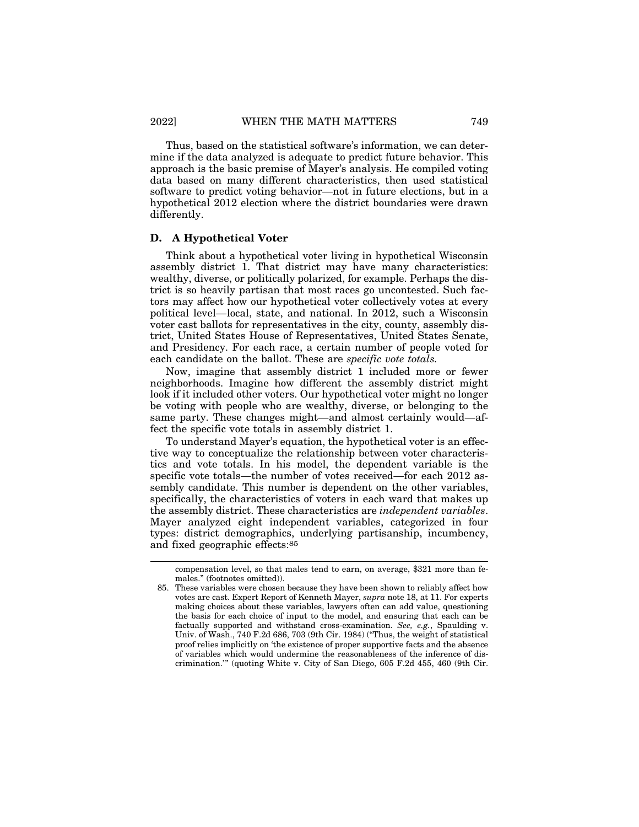Thus, based on the statistical software's information, we can determine if the data analyzed is adequate to predict future behavior. This approach is the basic premise of Mayer's analysis. He compiled voting data based on many different characteristics, then used statistical software to predict voting behavior—not in future elections, but in a hypothetical 2012 election where the district boundaries were drawn differently.

#### **D. A Hypothetical Voter**

Think about a hypothetical voter living in hypothetical Wisconsin assembly district 1. That district may have many characteristics: wealthy, diverse, or politically polarized, for example. Perhaps the district is so heavily partisan that most races go uncontested. Such factors may affect how our hypothetical voter collectively votes at every political level—local, state, and national. In 2012, such a Wisconsin voter cast ballots for representatives in the city, county, assembly district, United States House of Representatives, United States Senate, and Presidency. For each race, a certain number of people voted for each candidate on the ballot. These are *specific vote totals.*

Now, imagine that assembly district 1 included more or fewer neighborhoods. Imagine how different the assembly district might look if it included other voters. Our hypothetical voter might no longer be voting with people who are wealthy, diverse, or belonging to the same party. These changes might—and almost certainly would—affect the specific vote totals in assembly district 1.

To understand Mayer's equation, the hypothetical voter is an effective way to conceptualize the relationship between voter characteristics and vote totals. In his model, the dependent variable is the specific vote totals—the number of votes received—for each 2012 assembly candidate. This number is dependent on the other variables, specifically, the characteristics of voters in each ward that makes up the assembly district. These characteristics are *independent variables*. Mayer analyzed eight independent variables, categorized in four types: district demographics, underlying partisanship, incumbency, and fixed geographic effects:85

compensation level, so that males tend to earn, on average, \$321 more than females." (footnotes omitted)).

<sup>85.</sup> These variables were chosen because they have been shown to reliably affect how votes are cast. Expert Report of Kenneth Mayer, *supra* note 18, at 11. For experts making choices about these variables, lawyers often can add value, questioning the basis for each choice of input to the model, and ensuring that each can be factually supported and withstand cross-examination. *See, e.g.*, Spaulding v. Univ. of Wash., 740 F.2d 686, 703 (9th Cir. 1984) ("Thus, the weight of statistical proof relies implicitly on 'the existence of proper supportive facts and the absence of variables which would undermine the reasonableness of the inference of discrimination.'" (quoting White v. City of San Diego, 605 F.2d 455, 460 (9th Cir.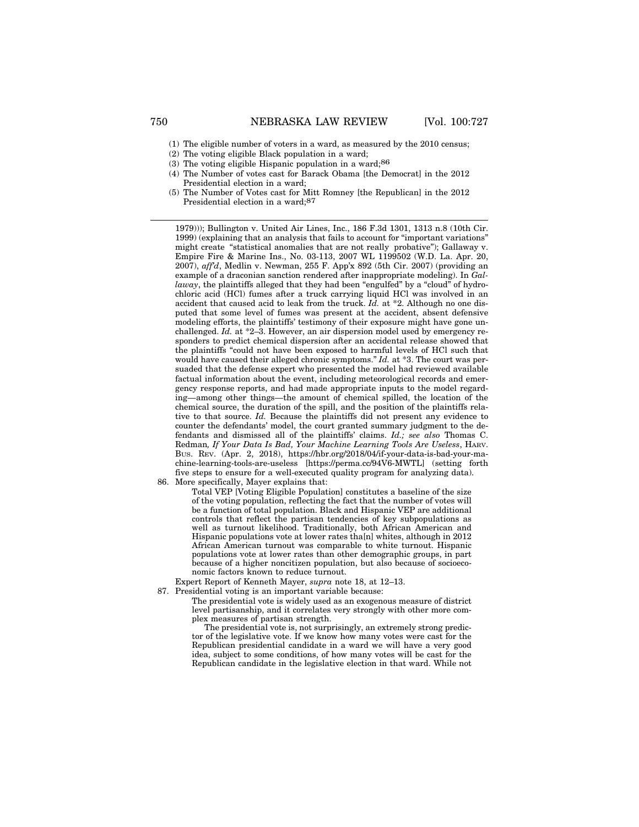- (1) The eligible number of voters in a ward, as measured by the 2010 census;
- (2) The voting eligible Black population in a ward;
- (3) The voting eligible Hispanic population in a ward;86
- (4) The Number of votes cast for Barack Obama [the Democrat] in the 2012 Presidential election in a ward;
- (5) The Number of Votes cast for Mitt Romney [the Republican] in the 2012 Presidential election in a ward;87

1979))); Bullington v. United Air Lines, Inc., 186 F.3d 1301, 1313 n.8 (10th Cir. 1999) (explaining that an analysis that fails to account for "important variations" might create "statistical anomalies that are not really probative"); Gallaway v. Empire Fire & Marine Ins., No. 03-113, 2007 WL 1199502 (W.D. La. Apr. 20, 2007), *aff'd*, Medlin v. Newman, 255 F. App'x 892 (5th Cir. 2007) (providing an example of a draconian sanction rendered after inappropriate modeling). In *Gallaway*, the plaintiffs alleged that they had been "engulfed" by a "cloud" of hydrochloric acid (HCl) fumes after a truck carrying liquid HCl was involved in an accident that caused acid to leak from the truck.  $I\overline{d}$ . at \*2. Although no one disputed that some level of fumes was present at the accident, absent defensive modeling efforts, the plaintiffs' testimony of their exposure might have gone unchallenged. *Id.* at \*2–3. However, an air dispersion model used by emergency responders to predict chemical dispersion after an accidental release showed that the plaintiffs "could not have been exposed to harmful levels of HCl such that would have caused their alleged chronic symptoms." *Id.* at \*3. The court was persuaded that the defense expert who presented the model had reviewed available factual information about the event, including meteorological records and emergency response reports, and had made appropriate inputs to the model regarding—among other things—the amount of chemical spilled, the location of the chemical source, the duration of the spill, and the position of the plaintiffs relative to that source. *Id.* Because the plaintiffs did not present any evidence to counter the defendants' model, the court granted summary judgment to the defendants and dismissed all of the plaintiffs' claims. *Id.; see also* Thomas C. Redman*, If Your Data Is Bad, Your Machine Learning Tools Are Useless*, HARV. BUS. REV. (Apr. 2, 2018), https://hbr.org/2018/04/if-your-data-is-bad-your-machine-learning-tools-are-useless [https://perma.cc/94V6-MWTL] (setting forth five steps to ensure for a well-executed quality program for analyzing data).

86. More specifically, Mayer explains that:

Total VEP [Voting Eligible Population] constitutes a baseline of the size of the voting population, reflecting the fact that the number of votes will be a function of total population. Black and Hispanic VEP are additional controls that reflect the partisan tendencies of key subpopulations as well as turnout likelihood. Traditionally, both African American and Hispanic populations vote at lower rates tha[n] whites, although in 2012 African American turnout was comparable to white turnout. Hispanic populations vote at lower rates than other demographic groups, in part because of a higher noncitizen population, but also because of socioeconomic factors known to reduce turnout.

Expert Report of Kenneth Mayer, *supra* note 18, at 12–13.

87. Presidential voting is an important variable because:

The presidential vote is widely used as an exogenous measure of district level partisanship, and it correlates very strongly with other more complex measures of partisan strength.

The presidential vote is, not surprisingly, an extremely strong predictor of the legislative vote. If we know how many votes were cast for the Republican presidential candidate in a ward we will have a very good idea, subject to some conditions, of how many votes will be cast for the Republican candidate in the legislative election in that ward. While not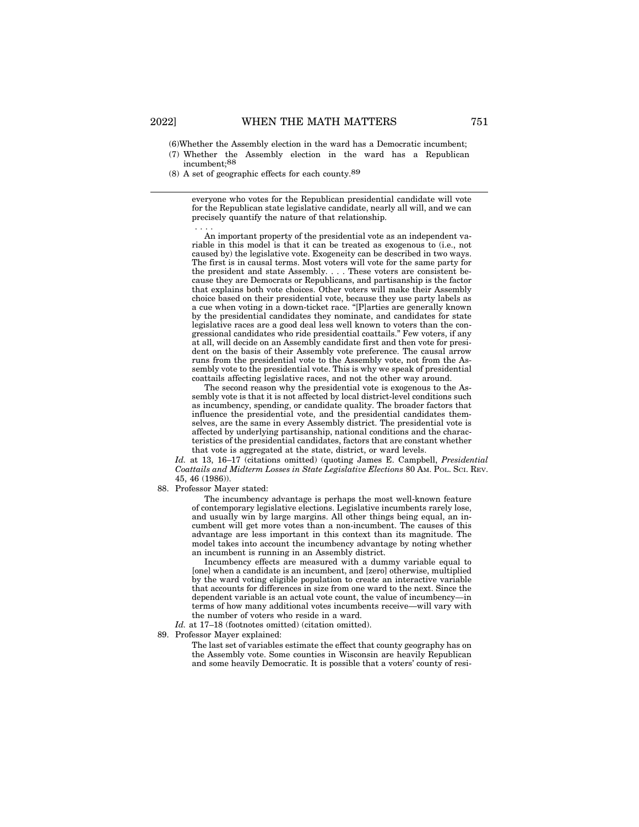(6)Whether the Assembly election in the ward has a Democratic incumbent; (7) Whether the Assembly election in the ward has a Republican

incumbent;88

(8) A set of geographic effects for each county.89

everyone who votes for the Republican presidential candidate will vote for the Republican state legislative candidate, nearly all will, and we can precisely quantify the nature of that relationship.

An important property of the presidential vote as an independent variable in this model is that it can be treated as exogenous to (i.e., not caused by) the legislative vote. Exogeneity can be described in two ways. The first is in causal terms. Most voters will vote for the same party for the president and state Assembly. . . . These voters are consistent because they are Democrats or Republicans, and partisanship is the factor that explains both vote choices. Other voters will make their Assembly choice based on their presidential vote, because they use party labels as a cue when voting in a down-ticket race. "[P]arties are generally known by the presidential candidates they nominate, and candidates for state legislative races are a good deal less well known to voters than the congressional candidates who ride presidential coattails." Few voters, if any at all, will decide on an Assembly candidate first and then vote for president on the basis of their Assembly vote preference. The causal arrow runs from the presidential vote to the Assembly vote, not from the Assembly vote to the presidential vote. This is why we speak of presidential coattails affecting legislative races, and not the other way around.

The second reason why the presidential vote is exogenous to the Assembly vote is that it is not affected by local district-level conditions such as incumbency, spending, or candidate quality. The broader factors that influence the presidential vote, and the presidential candidates themselves, are the same in every Assembly district. The presidential vote is affected by underlying partisanship, national conditions and the characteristics of the presidential candidates, factors that are constant whether that vote is aggregated at the state, district, or ward levels.

*Id.* at 13, 16–17 (citations omitted) (quoting James E. Campbell, *Presidential Coattails and Midterm Losses in State Legislative Elections* 80 AM. POL. SCI. REV. 45, 46 (1986)).

88. Professor Mayer stated:

The incumbency advantage is perhaps the most well-known feature of contemporary legislative elections. Legislative incumbents rarely lose, and usually win by large margins. All other things being equal, an incumbent will get more votes than a non-incumbent. The causes of this advantage are less important in this context than its magnitude. The model takes into account the incumbency advantage by noting whether an incumbent is running in an Assembly district.

Incumbency effects are measured with a dummy variable equal to [one] when a candidate is an incumbent, and [zero] otherwise, multiplied by the ward voting eligible population to create an interactive variable that accounts for differences in size from one ward to the next. Since the dependent variable is an actual vote count, the value of incumbency—in terms of how many additional votes incumbents receive—will vary with the number of voters who reside in a ward.

*Id.* at 17–18 (footnotes omitted) (citation omitted).

89. Professor Mayer explained:

The last set of variables estimate the effect that county geography has on the Assembly vote. Some counties in Wisconsin are heavily Republican and some heavily Democratic. It is possible that a voters' county of resi-

. . . .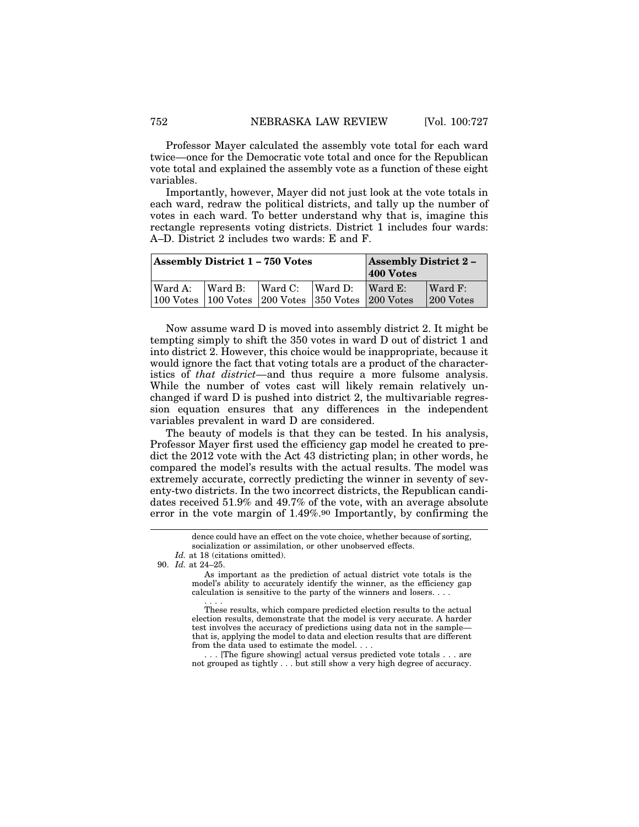Professor Mayer calculated the assembly vote total for each ward twice—once for the Democratic vote total and once for the Republican vote total and explained the assembly vote as a function of these eight variables.

Importantly, however, Mayer did not just look at the vote totals in each ward, redraw the political districts, and tally up the number of votes in each ward. To better understand why that is, imagine this rectangle represents voting districts. District 1 includes four wards: A–D. District 2 includes two wards: E and F.

| <b>Assembly District 1 - 750 Votes</b>                                                                               | <b>Assembly District 2 -</b><br>400 Votes |         |                   |                                    |
|----------------------------------------------------------------------------------------------------------------------|-------------------------------------------|---------|-------------------|------------------------------------|
| $\forall$ Ward A: $\forall$ Ward B: $\forall$ Ward C:<br>  100 Votes   100 Votes   200 Votes   350 Votes   200 Votes |                                           | Ward D: | $\forall$ Ward E: | $\forall$ Ward F:<br>$ 200 V$ otes |

Now assume ward D is moved into assembly district 2. It might be tempting simply to shift the 350 votes in ward D out of district 1 and into district 2. However, this choice would be inappropriate, because it would ignore the fact that voting totals are a product of the characteristics of *that district*—and thus require a more fulsome analysis. While the number of votes cast will likely remain relatively unchanged if ward D is pushed into district 2, the multivariable regression equation ensures that any differences in the independent variables prevalent in ward D are considered.

The beauty of models is that they can be tested. In his analysis, Professor Mayer first used the efficiency gap model he created to predict the 2012 vote with the Act 43 districting plan; in other words, he compared the model's results with the actual results. The model was extremely accurate, correctly predicting the winner in seventy of seventy-two districts. In the two incorrect districts, the Republican candidates received 51.9% and 49.7% of the vote, with an average absolute error in the vote margin of 1.49%.90 Importantly, by confirming the

. . . [The figure showing] actual versus predicted vote totals . . . are not grouped as tightly . . . but still show a very high degree of accuracy.

dence could have an effect on the vote choice, whether because of sorting, socialization or assimilation, or other unobserved effects.

Id. at 18 (citations omitted).

<sup>90.</sup> *Id.* at 24–25.

As important as the prediction of actual district vote totals is the model's ability to accurately identify the winner, as the efficiency gap calculation is sensitive to the party of the winners and losers. . . . . . . .

These results, which compare predicted election results to the actual election results, demonstrate that the model is very accurate. A harder test involves the accuracy of predictions using data not in the sample that is, applying the model to data and election results that are different from the data used to estimate the model. . . .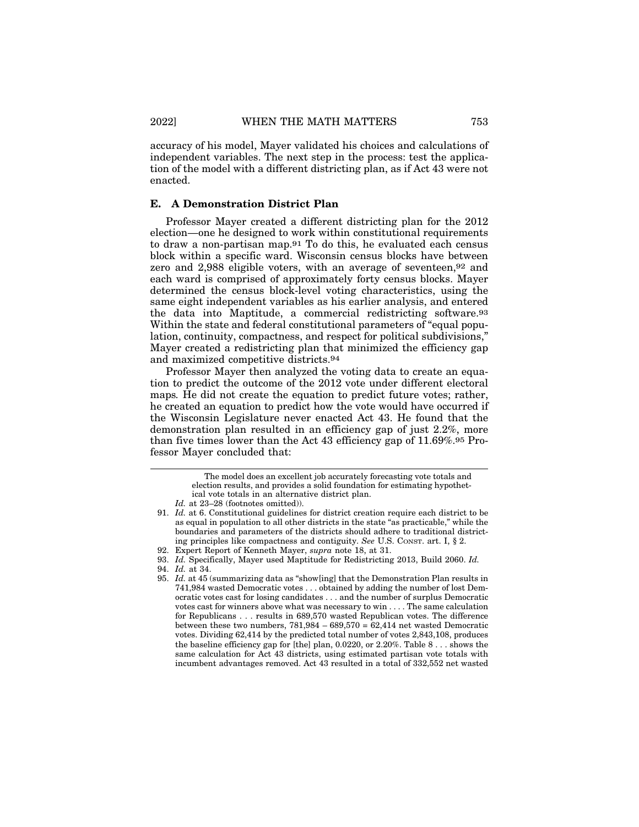accuracy of his model, Mayer validated his choices and calculations of independent variables. The next step in the process: test the application of the model with a different districting plan, as if Act 43 were not enacted.

## **E. A Demonstration District Plan**

Professor Mayer created a different districting plan for the 2012 election—one he designed to work within constitutional requirements to draw a non-partisan map.91 To do this, he evaluated each census block within a specific ward. Wisconsin census blocks have between zero and 2,988 eligible voters, with an average of seventeen,92 and each ward is comprised of approximately forty census blocks. Mayer determined the census block-level voting characteristics, using the same eight independent variables as his earlier analysis, and entered the data into Maptitude, a commercial redistricting software.93 Within the state and federal constitutional parameters of "equal population, continuity, compactness, and respect for political subdivisions," Mayer created a redistricting plan that minimized the efficiency gap and maximized competitive districts.94

Professor Mayer then analyzed the voting data to create an equation to predict the outcome of the 2012 vote under different electoral maps*.* He did not create the equation to predict future votes; rather, he created an equation to predict how the vote would have occurred if the Wisconsin Legislature never enacted Act 43. He found that the demonstration plan resulted in an efficiency gap of just 2.2%, more than five times lower than the Act 43 efficiency gap of 11.69%.95 Professor Mayer concluded that:

The model does an excellent job accurately forecasting vote totals and election results, and provides a solid foundation for estimating hypothetical vote totals in an alternative district plan.

*Id.* at 23–28 (footnotes omitted)).

<sup>91.</sup> *Id.* at 6. Constitutional guidelines for district creation require each district to be as equal in population to all other districts in the state "as practicable," while the boundaries and parameters of the districts should adhere to traditional districting principles like compactness and contiguity. *See* U.S. CONST. art. I, § 2.

<sup>92.</sup> Expert Report of Kenneth Mayer, *supra* note 18, at 31.

<sup>93.</sup> *Id.* Specifically, Mayer used Maptitude for Redistricting 2013, Build 2060. *Id.*

<sup>94.</sup> *Id.* at 34.

<sup>95.</sup> *Id.* at 45 (summarizing data as "show[ing] that the Demonstration Plan results in 741,984 wasted Democratic votes . . . obtained by adding the number of lost Democratic votes cast for losing candidates . . . and the number of surplus Democratic votes cast for winners above what was necessary to win . . . . The same calculation for Republicans . . . results in 689,570 wasted Republican votes. The difference between these two numbers,  $781,984 - 689,570 = 62,414$  net wasted Democratic votes. Dividing 62,414 by the predicted total number of votes 2,843,108, produces the baseline efficiency gap for [the] plan, 0.0220, or 2.20%. Table 8 . . . shows the same calculation for Act 43 districts, using estimated partisan vote totals with incumbent advantages removed. Act 43 resulted in a total of 332,552 net wasted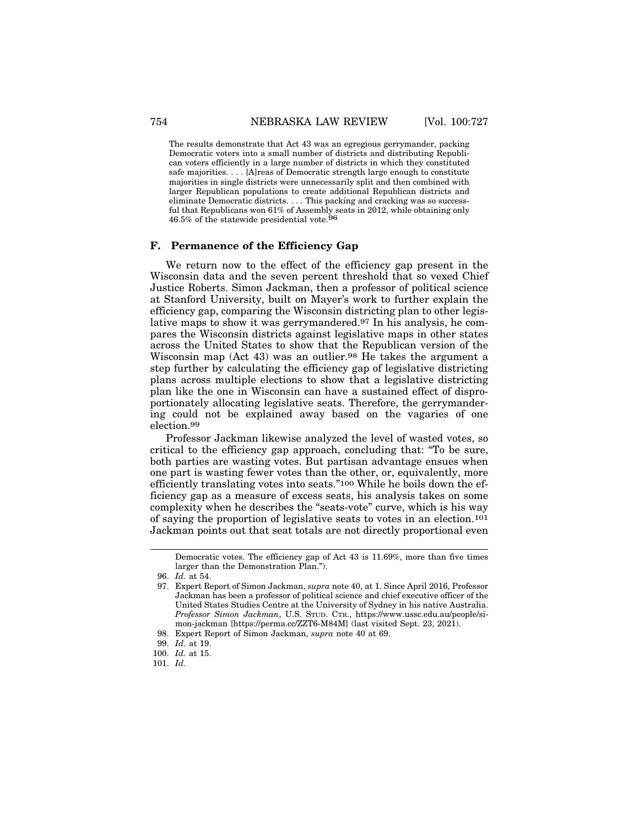The results demonstrate that Act 43 was an egregious gerrymander, packing Democratic voters into a small number of districts and distributing Republican voters efficiently in a large number of districts in which they constituted safe majorities. . . . [A]reas of Democratic strength large enough to constitute majorities in single districts were unnecessarily split and then combined with larger Republican populations to create additional Republican districts and eliminate Democratic districts. . . . This packing and cracking was so successful that Republicans won 61% of Assembly seats in 2012, while obtaining only<br>46.5% of the statewide presidential vote.<sup>96</sup>

## **F. Permanence of the Efficiency Gap**

We return now to the effect of the efficiency gap present in the Wisconsin data and the seven percent threshold that so vexed Chief Justice Roberts. Simon Jackman, then a professor of political science at Stanford University, built on Mayer's work to further explain the efficiency gap, comparing the Wisconsin districting plan to other legislative maps to show it was gerrymandered.97 In his analysis, he compares the Wisconsin districts against legislative maps in other states across the United States to show that the Republican version of the Wisconsin map (Act 43) was an outlier.98 He takes the argument a step further by calculating the efficiency gap of legislative districting plans across multiple elections to show that a legislative districting plan like the one in Wisconsin can have a sustained effect of disproportionately allocating legislative seats. Therefore, the gerrymandering could not be explained away based on the vagaries of one election.99

Professor Jackman likewise analyzed the level of wasted votes, so critical to the efficiency gap approach, concluding that: "To be sure, both parties are wasting votes. But partisan advantage ensues when one part is wasting fewer votes than the other, or, equivalently, more efficiently translating votes into seats."100 While he boils down the efficiency gap as a measure of excess seats, his analysis takes on some complexity when he describes the "seats-vote" curve, which is his way of saying the proportion of legislative seats to votes in an election.101 Jackman points out that seat totals are not directly proportional even

Democratic votes. The efficiency gap of Act 43 is 11.69%, more than five times larger than the Demonstration Plan.").

<sup>96.</sup> *Id.* at 54.

<sup>97.</sup> Expert Report of Simon Jackman, *supra* note 40, at 1. Since April 2016, Professor Jackman has been a professor of political science and chief executive officer of the United States Studies Centre at the University of Sydney in his native Australia. *Professor Simon Jackman*, U.S. STUD. CTR., https://www.ussc.edu.au/people/simon-jackman [https://perma.cc/ZZT6-M84M] (last visited Sept. 23, 2021).

<sup>98.</sup> Expert Report of Simon Jackman, *supra* note 40 at 69.

<sup>99.</sup> *Id.* at 19.

<sup>100.</sup> *Id.* at 15.

<sup>101.</sup> *Id.*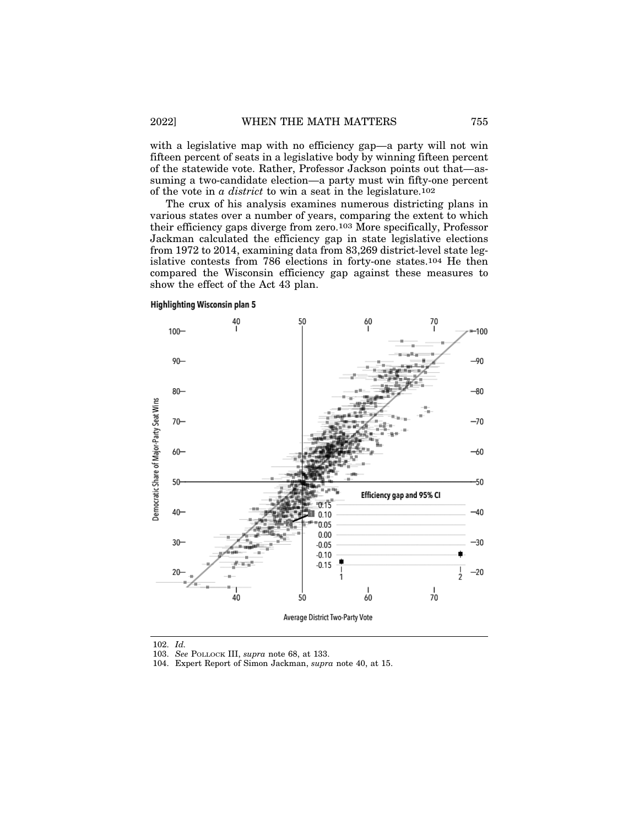with a legislative map with no efficiency gap—a party will not win fifteen percent of seats in a legislative body by winning fifteen percent of the statewide vote. Rather, Professor Jackson points out that—assuming a two-candidate election—a party must win fifty-one percent of the vote in *a district* to win a seat in the legislature.102

The crux of his analysis examines numerous districting plans in various states over a number of years, comparing the extent to which their efficiency gaps diverge from zero.103 More specifically, Professor Jackman calculated the efficiency gap in state legislative elections from 1972 to 2014, examining data from 83,269 district-level state legislative contests from 786 elections in forty-one states.104 He then compared the Wisconsin efficiency gap against these measures to show the effect of the Act 43 plan.

### Highlighting Wisconsin plan 5



102. *Id.*

104. Expert Report of Simon Jackman, *supra* note 40, at 15.

<sup>103.</sup> *See* POLLOCK III, *supra* note 68, at 133.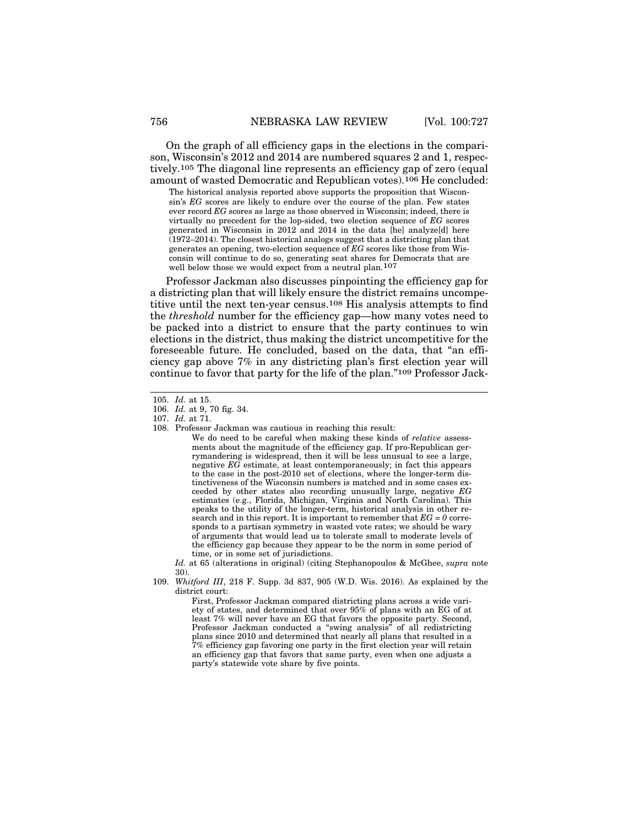On the graph of all efficiency gaps in the elections in the comparison, Wisconsin's 2012 and 2014 are numbered squares 2 and 1, respectively.105 The diagonal line represents an efficiency gap of zero (equal amount of wasted Democratic and Republican votes).106 He concluded:

The historical analysis reported above supports the proposition that Wisconsin's *EG* scores are likely to endure over the course of the plan. Few states ever record *EG* scores as large as those observed in Wisconsin; indeed, there is virtually no precedent for the lop-sided, two election sequence of *EG* scores generated in Wisconsin in 2012 and 2014 in the data [he] analyze[d] here (1972–2014). The closest historical analogs suggest that a districting plan that generates an opening, two-election sequence of *EG* scores like those from Wisconsin will continue to do so, generating seat shares for Democrats that are well below those we would expect from a neutral plan.<sup>107</sup>

Professor Jackman also discusses pinpointing the efficiency gap for a districting plan that will likely ensure the district remains uncompetitive until the next ten-year census.108 His analysis attempts to find the *threshold* number for the efficiency gap—how many votes need to be packed into a district to ensure that the party continues to win elections in the district, thus making the district uncompetitive for the foreseeable future. He concluded, based on the data, that "an efficiency gap above 7% in any districting plan's first election year will continue to favor that party for the life of the plan."109 Professor Jack-

*Id.* at 65 (alterations in original) (citing Stephanopoulos & McGhee, *supra* note 30).

109. *Whitford III*, 218 F. Supp. 3d 837, 905 (W.D. Wis. 2016). As explained by the district court:

> First, Professor Jackman compared districting plans across a wide variety of states, and determined that over 95% of plans with an EG of at least 7% will never have an EG that favors the opposite party. Second, Professor Jackman conducted a "swing analysis" of all redistricting plans since 2010 and determined that nearly all plans that resulted in a 7% efficiency gap favoring one party in the first election year will retain an efficiency gap that favors that same party, even when one adjusts a party's statewide vote share by five points.

<sup>105.</sup> *Id.* at 15.

<sup>106.</sup> *Id.* at 9, 70 fig. 34.

<sup>107.</sup> *Id.* at 71.

<sup>108.</sup> Professor Jackman was cautious in reaching this result:

We do need to be careful when making these kinds of *relative* assessments about the magnitude of the efficiency gap. If pro-Republican gerrymandering is widespread, then it will be less unusual to see a large, negative *EG* estimate, at least contemporaneously; in fact this appears to the case in the post-2010 set of elections, where the longer-term distinctiveness of the Wisconsin numbers is matched and in some cases exceeded by other states also recording unusually large, negative *EG* estimates (e.g., Florida, Michigan, Virginia and North Carolina). This speaks to the utility of the longer-term, historical analysis in other research and in this report. It is important to remember that  $EG = 0$  corresponds to a partisan symmetry in wasted vote rates; we should be wary of arguments that would lead us to tolerate small to moderate levels of the efficiency gap because they appear to be the norm in some period of time, or in some set of jurisdictions.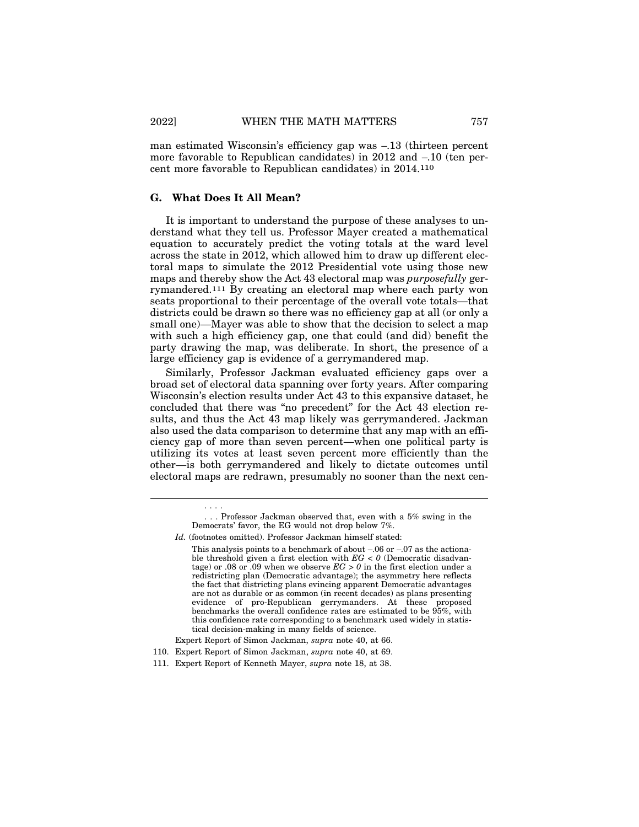man estimated Wisconsin's efficiency gap was –.13 (thirteen percent more favorable to Republican candidates) in 2012 and –.10 (ten percent more favorable to Republican candidates) in 2014.110

#### **G. What Does It All Mean?**

. . . .

It is important to understand the purpose of these analyses to understand what they tell us. Professor Mayer created a mathematical equation to accurately predict the voting totals at the ward level across the state in 2012, which allowed him to draw up different electoral maps to simulate the 2012 Presidential vote using those new maps and thereby show the Act 43 electoral map was *purposefully* gerrymandered.111 By creating an electoral map where each party won seats proportional to their percentage of the overall vote totals—that districts could be drawn so there was no efficiency gap at all (or only a small one)—Mayer was able to show that the decision to select a map with such a high efficiency gap, one that could (and did) benefit the party drawing the map, was deliberate. In short, the presence of a large efficiency gap is evidence of a gerrymandered map.

Similarly, Professor Jackman evaluated efficiency gaps over a broad set of electoral data spanning over forty years. After comparing Wisconsin's election results under Act 43 to this expansive dataset, he concluded that there was "no precedent" for the Act 43 election results, and thus the Act 43 map likely was gerrymandered. Jackman also used the data comparison to determine that any map with an efficiency gap of more than seven percent—when one political party is utilizing its votes at least seven percent more efficiently than the other—is both gerrymandered and likely to dictate outcomes until electoral maps are redrawn, presumably no sooner than the next cen-

<sup>. . .</sup> Professor Jackman observed that, even with a 5% swing in the Democrats' favor, the EG would not drop below 7%.

*Id.* (footnotes omitted). Professor Jackman himself stated:

This analysis points to a benchmark of about  $-0.06$  or  $-0.07$  as the actionable threshold given a first election with  $EG < \theta$  (Democratic disadvantage) or .08 or .09 when we observe  $EG > 0$  in the first election under a redistricting plan (Democratic advantage); the asymmetry here reflects the fact that districting plans evincing apparent Democratic advantages are not as durable or as common (in recent decades) as plans presenting evidence of pro-Republican gerrymanders. At these proposed benchmarks the overall confidence rates are estimated to be 95%, with this confidence rate corresponding to a benchmark used widely in statistical decision-making in many fields of science.

Expert Report of Simon Jackman, *supra* note 40, at 66.

<sup>110.</sup> Expert Report of Simon Jackman, *supra* note 40, at 69.

<sup>111.</sup> Expert Report of Kenneth Mayer, *supra* note 18, at 38.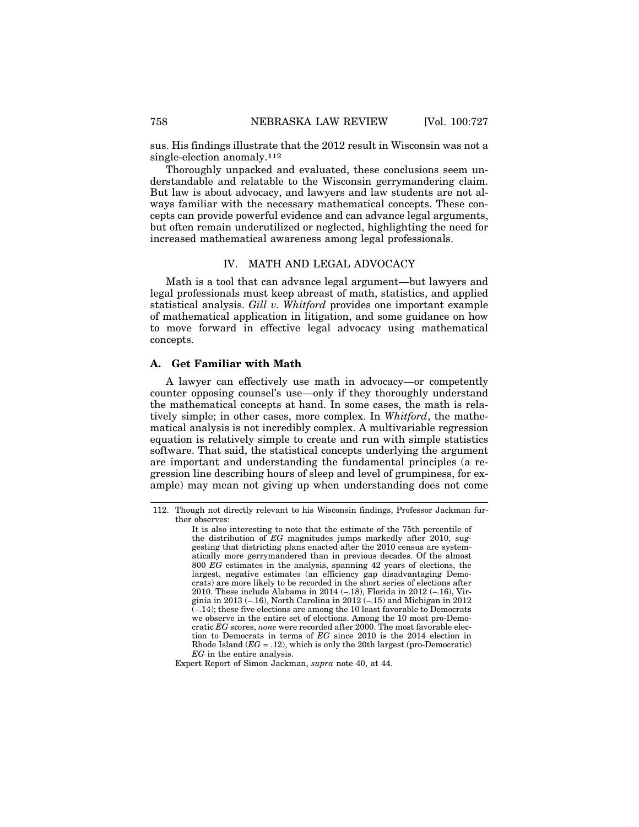sus. His findings illustrate that the 2012 result in Wisconsin was not a single-election anomaly.112

Thoroughly unpacked and evaluated, these conclusions seem understandable and relatable to the Wisconsin gerrymandering claim. But law is about advocacy, and lawyers and law students are not always familiar with the necessary mathematical concepts. These concepts can provide powerful evidence and can advance legal arguments, but often remain underutilized or neglected, highlighting the need for increased mathematical awareness among legal professionals.

## IV. MATH AND LEGAL ADVOCACY

Math is a tool that can advance legal argument—but lawyers and legal professionals must keep abreast of math, statistics, and applied statistical analysis. *Gill v. Whitford* provides one important example of mathematical application in litigation, and some guidance on how to move forward in effective legal advocacy using mathematical concepts.

#### **A. Get Familiar with Math**

A lawyer can effectively use math in advocacy—or competently counter opposing counsel's use—only if they thoroughly understand the mathematical concepts at hand. In some cases, the math is relatively simple; in other cases, more complex. In *Whitford*, the mathematical analysis is not incredibly complex. A multivariable regression equation is relatively simple to create and run with simple statistics software. That said, the statistical concepts underlying the argument are important and understanding the fundamental principles (a regression line describing hours of sleep and level of grumpiness, for example) may mean not giving up when understanding does not come

<sup>112.</sup> Though not directly relevant to his Wisconsin findings, Professor Jackman further observes:

It is also interesting to note that the estimate of the 75th percentile of the distribution of *EG* magnitudes jumps markedly after 2010, suggesting that districting plans enacted after the 2010 census are systematically more gerrymandered than in previous decades. Of the almost 800 *EG* estimates in the analysis, spanning 42 years of elections, the largest, negative estimates (an efficiency gap disadvantaging Democrats) are more likely to be recorded in the short series of elections after 2010. These include Alabama in 2014 (–.18), Florida in 2012 (–.16), Virginia in 2013 (–.16), North Carolina in 2012 (–.15) and Michigan in 2012 (–.14); these five elections are among the 10 least favorable to Democrats we observe in the entire set of elections. Among the 10 most pro-Democratic *EG* scores, *none* were recorded after 2000. The most favorable election to Democrats in terms of *EG* since 2010 is the 2014 election in Rhode Island  $(EG = .12)$ , which is only the 20th largest (pro-Democratic) *EG* in the entire analysis.

Expert Report of Simon Jackman, *supra* note 40, at 44.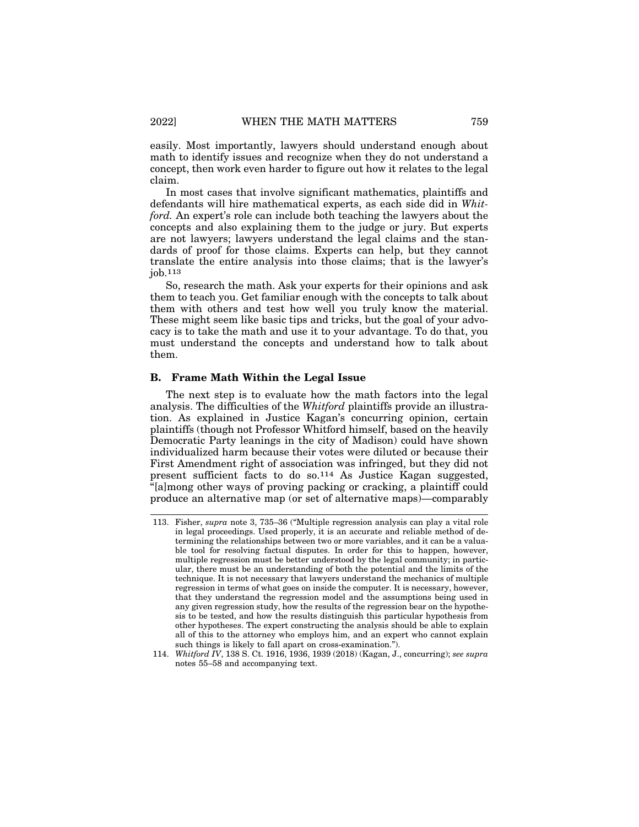easily. Most importantly, lawyers should understand enough about math to identify issues and recognize when they do not understand a concept, then work even harder to figure out how it relates to the legal claim.

In most cases that involve significant mathematics, plaintiffs and defendants will hire mathematical experts, as each side did in *Whitford.* An expert's role can include both teaching the lawyers about the concepts and also explaining them to the judge or jury. But experts are not lawyers; lawyers understand the legal claims and the standards of proof for those claims. Experts can help, but they cannot translate the entire analysis into those claims; that is the lawyer's job.113

So, research the math. Ask your experts for their opinions and ask them to teach you. Get familiar enough with the concepts to talk about them with others and test how well you truly know the material. These might seem like basic tips and tricks, but the goal of your advocacy is to take the math and use it to your advantage. To do that, you must understand the concepts and understand how to talk about them.

## **B. Frame Math Within the Legal Issue**

The next step is to evaluate how the math factors into the legal analysis. The difficulties of the *Whitford* plaintiffs provide an illustration. As explained in Justice Kagan's concurring opinion, certain plaintiffs (though not Professor Whitford himself, based on the heavily Democratic Party leanings in the city of Madison) could have shown individualized harm because their votes were diluted or because their First Amendment right of association was infringed, but they did not present sufficient facts to do so.114 As Justice Kagan suggested, "[a]mong other ways of proving packing or cracking, a plaintiff could produce an alternative map (or set of alternative maps)—comparably

<sup>113.</sup> Fisher, *supra* note 3, 735–36 ("Multiple regression analysis can play a vital role in legal proceedings. Used properly, it is an accurate and reliable method of determining the relationships between two or more variables, and it can be a valuable tool for resolving factual disputes. In order for this to happen, however, multiple regression must be better understood by the legal community; in particular, there must be an understanding of both the potential and the limits of the technique. It is not necessary that lawyers understand the mechanics of multiple regression in terms of what goes on inside the computer. It is necessary, however, that they understand the regression model and the assumptions being used in any given regression study, how the results of the regression bear on the hypothesis to be tested, and how the results distinguish this particular hypothesis from other hypotheses. The expert constructing the analysis should be able to explain all of this to the attorney who employs him, and an expert who cannot explain such things is likely to fall apart on cross-examination.").

<sup>114.</sup> *Whitford IV*, 138 S. Ct. 1916, 1936, 1939 (2018) (Kagan, J., concurring); *see supra* notes 55–58 and accompanying text.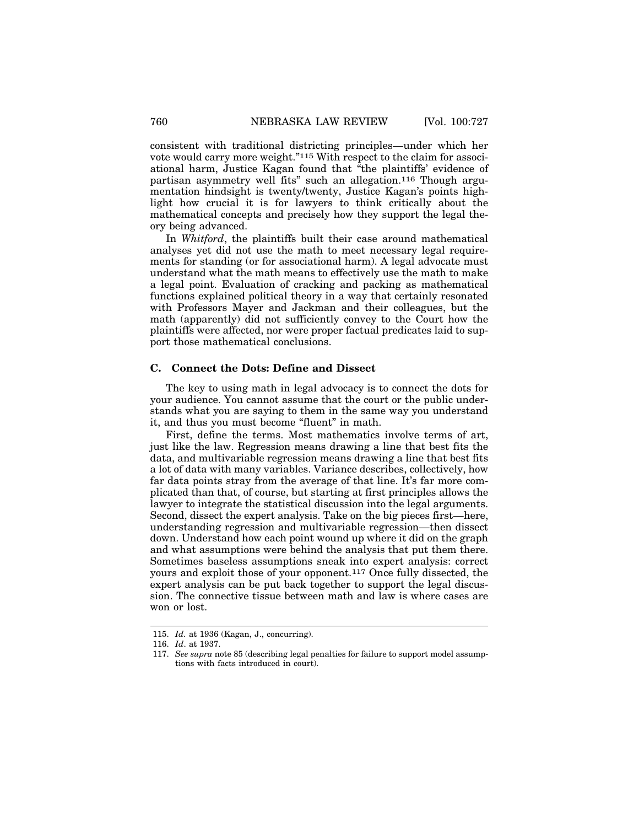consistent with traditional districting principles—under which her vote would carry more weight."115 With respect to the claim for associational harm, Justice Kagan found that "the plaintiffs' evidence of partisan asymmetry well fits" such an allegation.116 Though argumentation hindsight is twenty/twenty, Justice Kagan's points highlight how crucial it is for lawyers to think critically about the mathematical concepts and precisely how they support the legal theory being advanced.

In *Whitford*, the plaintiffs built their case around mathematical analyses yet did not use the math to meet necessary legal requirements for standing (or for associational harm). A legal advocate must understand what the math means to effectively use the math to make a legal point. Evaluation of cracking and packing as mathematical functions explained political theory in a way that certainly resonated with Professors Mayer and Jackman and their colleagues, but the math (apparently) did not sufficiently convey to the Court how the plaintiffs were affected, nor were proper factual predicates laid to support those mathematical conclusions.

#### **C. Connect the Dots: Define and Dissect**

The key to using math in legal advocacy is to connect the dots for your audience. You cannot assume that the court or the public understands what you are saying to them in the same way you understand it, and thus you must become "fluent" in math.

First, define the terms. Most mathematics involve terms of art, just like the law. Regression means drawing a line that best fits the data, and multivariable regression means drawing a line that best fits a lot of data with many variables. Variance describes, collectively, how far data points stray from the average of that line. It's far more complicated than that, of course, but starting at first principles allows the lawyer to integrate the statistical discussion into the legal arguments. Second, dissect the expert analysis. Take on the big pieces first—here, understanding regression and multivariable regression—then dissect down. Understand how each point wound up where it did on the graph and what assumptions were behind the analysis that put them there. Sometimes baseless assumptions sneak into expert analysis: correct yours and exploit those of your opponent.117 Once fully dissected, the expert analysis can be put back together to support the legal discussion. The connective tissue between math and law is where cases are won or lost.

<sup>115.</sup> *Id.* at 1936 (Kagan, J., concurring).

<sup>116.</sup> *Id*. at 1937.

<sup>117.</sup> *See supra* note 85 (describing legal penalties for failure to support model assumptions with facts introduced in court).